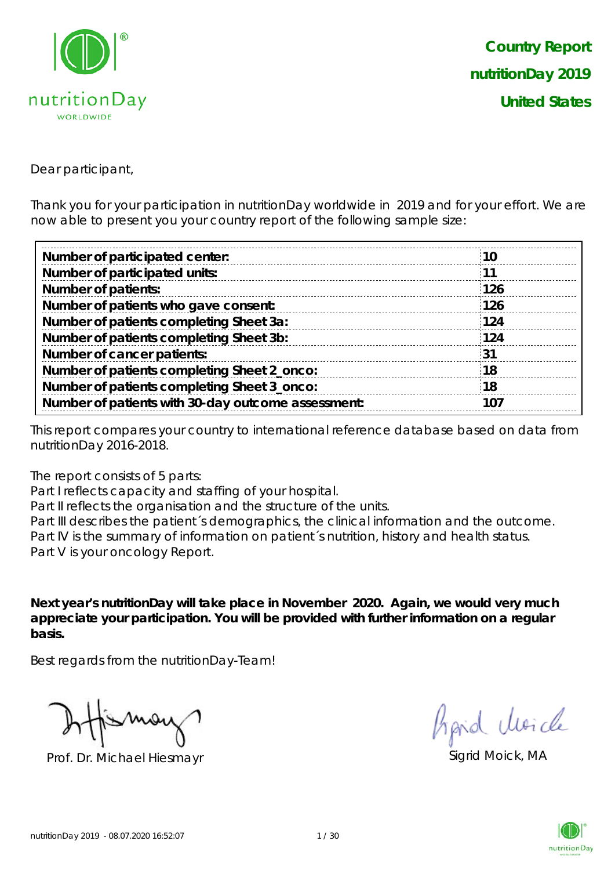

Dear participant,

Thank you for your participation in nutritionDay worldwide in 2019 and for your effort. We are now able to present you your country report of the following sample size:

| <b>10</b> |  |
|-----------|--|
| <b>11</b> |  |
| 126       |  |
| 126       |  |
| 124       |  |
| 124       |  |
| 31        |  |
| :18       |  |
| 18        |  |
| 107       |  |
|           |  |

This report compares your country to international reference database based on data from nutritionDay 2016-2018.

The report consists of 5 parts:

Part I reflects capacity and staffing of your hospital.

Part II reflects the organisation and the structure of the units.

Part III describes the patient's demographics, the clinical information and the outcome. Part IV is the summary of information on patient´s nutrition, history and health status. Part V is your oncology Report.

**Next year's nutritionDay will take place in November 2020. Again, we would very much appreciate your participation. You will be provided with further information on a regular basis.**

Best regards from the nutritionDay-Team!

Prof. Dr. Michael Hiesmayr Sigrid Moick, MA

hard Moich

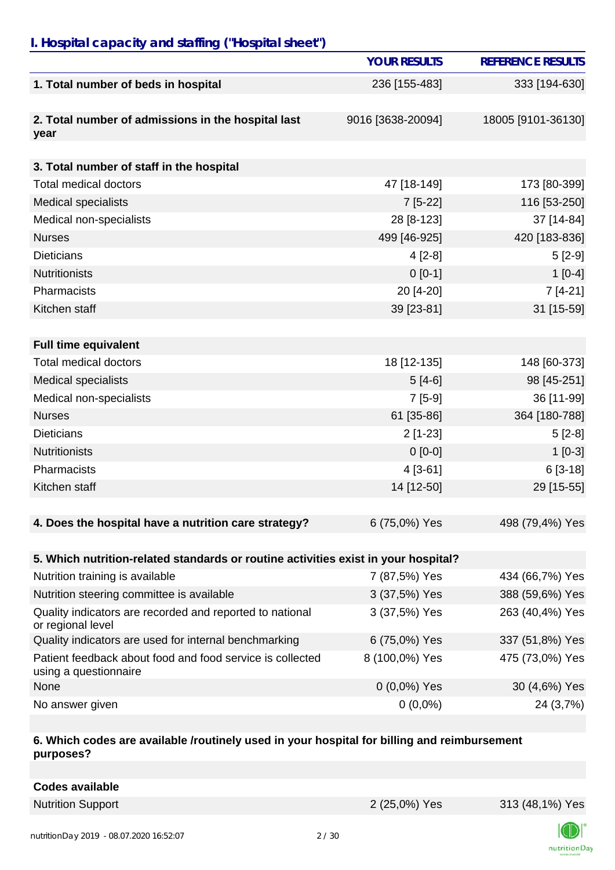## *I. Hospital capacity and staffing ("Hospital sheet")*

|                                                                                    | <b>YOUR RESULTS</b> | <b>REFERENCE RESULTS</b> |
|------------------------------------------------------------------------------------|---------------------|--------------------------|
| 1. Total number of beds in hospital                                                | 236 [155-483]       | 333 [194-630]            |
| 2. Total number of admissions in the hospital last<br>year                         | 9016 [3638-20094]   | 18005 [9101-36130]       |
| 3. Total number of staff in the hospital                                           |                     |                          |
| <b>Total medical doctors</b>                                                       | 47 [18-149]         | 173 [80-399]             |
| <b>Medical specialists</b>                                                         | $7[5-22]$           | 116 [53-250]             |
| Medical non-specialists                                                            | 28 [8-123]          | 37 [14-84]               |
| <b>Nurses</b>                                                                      | 499 [46-925]        | 420 [183-836]            |
| <b>Dieticians</b>                                                                  | $4[2-8]$            | $5[2-9]$                 |
| <b>Nutritionists</b>                                                               | $0 [0-1]$           | $1[0-4]$                 |
| Pharmacists                                                                        | 20 [4-20]           | $7[4-21]$                |
| Kitchen staff                                                                      | 39 [23-81]          | 31 [15-59]               |
|                                                                                    |                     |                          |
| <b>Full time equivalent</b>                                                        |                     |                          |
| <b>Total medical doctors</b>                                                       | 18 [12-135]         | 148 [60-373]             |
| <b>Medical specialists</b>                                                         | $5[4-6]$            | 98 [45-251]              |
| Medical non-specialists                                                            | $7[5-9]$            | 36 [11-99]               |
| <b>Nurses</b>                                                                      | 61 [35-86]          | 364 [180-788]            |
| <b>Dieticians</b>                                                                  | $2[1-23]$           | $5[2-8]$                 |
| <b>Nutritionists</b>                                                               | $0[0-0]$            | $1[0-3]$                 |
| Pharmacists                                                                        | $4[3-61]$           | $6[3-18]$                |
| Kitchen staff                                                                      | 14 [12-50]          | 29 [15-55]               |
| 4. Does the hospital have a nutrition care strategy?                               | 6 (75,0%) Yes       | 498 (79,4%) Yes          |
| 5. Which nutrition-related standards or routine activities exist in your hospital? |                     |                          |
| Nutrition training is available                                                    | 7 (87,5%) Yes       | 434 (66,7%) Yes          |
| Nutrition steering committee is available                                          | 3 (37,5%) Yes       | 388 (59,6%) Yes          |
| Quality indicators are recorded and reported to national<br>or regional level      | 3 (37,5%) Yes       | 263 (40,4%) Yes          |
| Quality indicators are used for internal benchmarking                              | 6 (75,0%) Yes       | 337 (51,8%) Yes          |
| Patient feedback about food and food service is collected<br>using a questionnaire | 8 (100,0%) Yes      | 475 (73,0%) Yes          |
| None                                                                               | $0(0,0\%)$ Yes      | 30 (4,6%) Yes            |
| No answer given                                                                    | $0(0,0\%)$          | 24 (3,7%)                |

#### **6. Which codes are available /routinely used in your hospital for billing and reimbursement purposes?**

| <b>Codes available</b> |
|------------------------|
|------------------------|

Nutrition Support 2 (25,0%) Yes 313 (48,1%) Yes

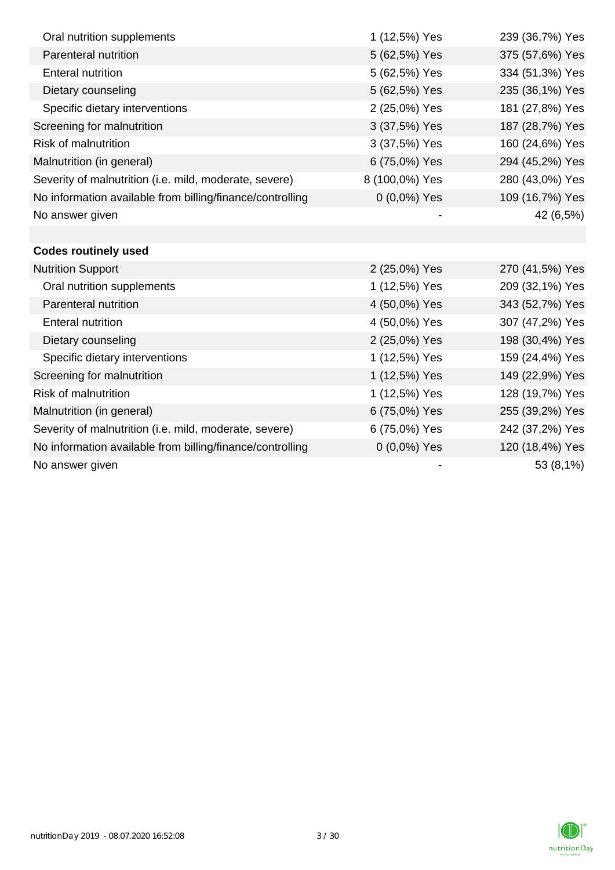| Oral nutrition supplements                                | 1 (12,5%) Yes  | 239 (36,7%) Yes |
|-----------------------------------------------------------|----------------|-----------------|
| <b>Parenteral nutrition</b>                               | 5 (62,5%) Yes  | 375 (57,6%) Yes |
| <b>Enteral nutrition</b>                                  | 5 (62,5%) Yes  | 334 (51,3%) Yes |
| Dietary counseling                                        | 5 (62,5%) Yes  | 235 (36,1%) Yes |
| Specific dietary interventions                            | 2 (25,0%) Yes  | 181 (27,8%) Yes |
| Screening for malnutrition                                | 3 (37,5%) Yes  | 187 (28,7%) Yes |
| <b>Risk of malnutrition</b>                               | 3 (37,5%) Yes  | 160 (24,6%) Yes |
| Malnutrition (in general)                                 | 6 (75,0%) Yes  | 294 (45,2%) Yes |
| Severity of malnutrition (i.e. mild, moderate, severe)    | 8 (100,0%) Yes | 280 (43,0%) Yes |
| No information available from billing/finance/controlling | $0(0,0\%)$ Yes | 109 (16,7%) Yes |
| No answer given                                           |                | 42 (6,5%)       |
|                                                           |                |                 |
| <b>Codes routinely used</b>                               |                |                 |
| <b>Nutrition Support</b>                                  | 2 (25,0%) Yes  | 270 (41,5%) Yes |
| Oral nutrition supplements                                | 1 (12,5%) Yes  | 209 (32,1%) Yes |
| Parenteral nutrition                                      | 4 (50,0%) Yes  | 343 (52,7%) Yes |
| <b>Enteral nutrition</b>                                  | 4 (50,0%) Yes  | 307 (47,2%) Yes |
| Dietary counseling                                        | 2 (25,0%) Yes  | 198 (30,4%) Yes |
| Specific dietary interventions                            | 1 (12,5%) Yes  | 159 (24,4%) Yes |
| Screening for malnutrition                                | 1 (12,5%) Yes  | 149 (22,9%) Yes |
| <b>Risk of malnutrition</b>                               | 1 (12,5%) Yes  | 128 (19,7%) Yes |
| Malnutrition (in general)                                 | 6 (75,0%) Yes  | 255 (39,2%) Yes |
| Severity of malnutrition (i.e. mild, moderate, severe)    | 6 (75,0%) Yes  | 242 (37,2%) Yes |
| No information available from billing/finance/controlling | 0 (0,0%) Yes   | 120 (18,4%) Yes |
| No answer given                                           |                | 53 (8,1%)       |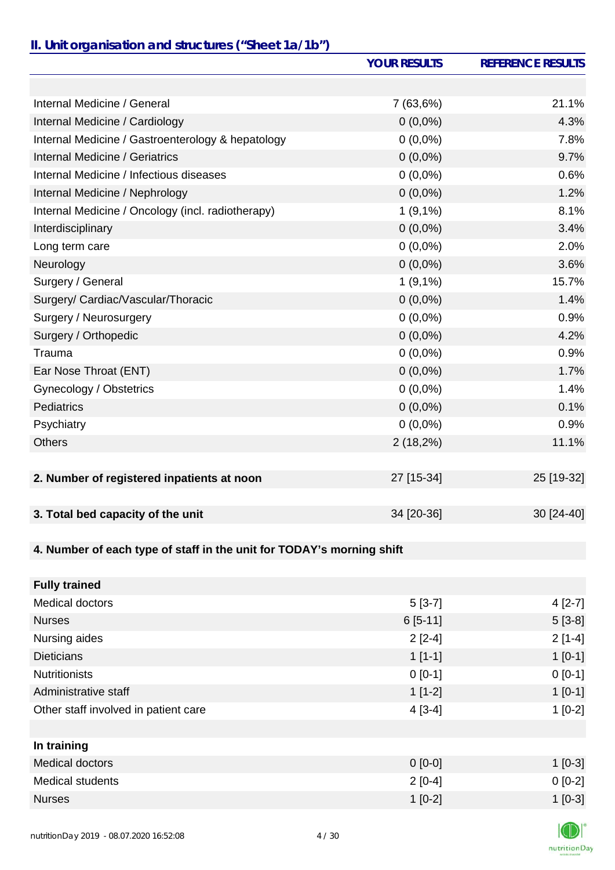### *II. Unit organisation and structures ("Sheet 1a/1b")*

|                                                                       | <b>YOUR RESULTS</b> | <b>REFERENCE RESULTS</b> |
|-----------------------------------------------------------------------|---------------------|--------------------------|
|                                                                       |                     |                          |
| Internal Medicine / General                                           | 7 (63,6%)           | 21.1%                    |
| Internal Medicine / Cardiology                                        | $0(0,0\%)$          | 4.3%                     |
| Internal Medicine / Gastroenterology & hepatology                     | $0(0,0\%)$          | 7.8%                     |
| Internal Medicine / Geriatrics                                        | $0(0,0\%)$          | 9.7%                     |
| Internal Medicine / Infectious diseases                               | $0(0,0\%)$          | 0.6%                     |
| Internal Medicine / Nephrology                                        | $0(0,0\%)$          | 1.2%                     |
| Internal Medicine / Oncology (incl. radiotherapy)                     | $1(9,1\%)$          | 8.1%                     |
| Interdisciplinary                                                     | $0(0,0\%)$          | 3.4%                     |
| Long term care                                                        | $0(0,0\%)$          | 2.0%                     |
| Neurology                                                             | $0(0,0\%)$          | 3.6%                     |
| Surgery / General                                                     | $1(9,1\%)$          | 15.7%                    |
| Surgery/ Cardiac/Vascular/Thoracic                                    | $0(0,0\%)$          | 1.4%                     |
| Surgery / Neurosurgery                                                | $0(0,0\%)$          | 0.9%                     |
| Surgery / Orthopedic                                                  | $0(0,0\%)$          | 4.2%                     |
| Trauma                                                                | $0(0,0\%)$          | 0.9%                     |
| Ear Nose Throat (ENT)                                                 | $0(0,0\%)$          | 1.7%                     |
| Gynecology / Obstetrics                                               | $0(0,0\%)$          | 1.4%                     |
| <b>Pediatrics</b>                                                     | $0(0,0\%)$          | 0.1%                     |
| Psychiatry                                                            | $0(0,0\%)$          | 0.9%                     |
| <b>Others</b>                                                         | 2(18,2%)            | 11.1%                    |
|                                                                       |                     |                          |
| 2. Number of registered inpatients at noon                            | 27 [15-34]          | 25 [19-32]               |
|                                                                       |                     |                          |
| 3. Total bed capacity of the unit                                     | 34 [20-36]          | 30 [24-40]               |
|                                                                       |                     |                          |
| 4. Number of each type of staff in the unit for TODAY's morning shift |                     |                          |
|                                                                       |                     |                          |
| <b>Fully trained</b>                                                  |                     |                          |
| Medical doctors                                                       | $5[3-7]$            | $4[2-7]$                 |
| <b>Nurses</b>                                                         | $6[5-11]$           | $5[3-8]$                 |
| Nursing aides                                                         | $2[2-4]$            | $2[1-4]$                 |
| <b>Dieticians</b>                                                     | $1[1-1]$            | $1[0-1]$                 |
| <b>Nutritionists</b>                                                  | $0 [0-1]$           | $0[0-1]$                 |

**In training**

Administrative staff 1 [0-1] 1 [0-1] Other staff involved in patient care 1 2 and 2 and 2 and 2 and 2 and 2 and 2 and 2 and 2 and 2 and 2 and 2 and 2 and 2 and 2 and 2 and 2 and 2 and 2 and 2 and 2 and 2 and 2 and 2 and 2 and 2 and 2 and 2 and 2 and 2 and 2 a

Medical doctors 1 [0-3] Medical students 0 [0-2] 0 [0-2] Nurses 1 [0-2] 1 [0-3]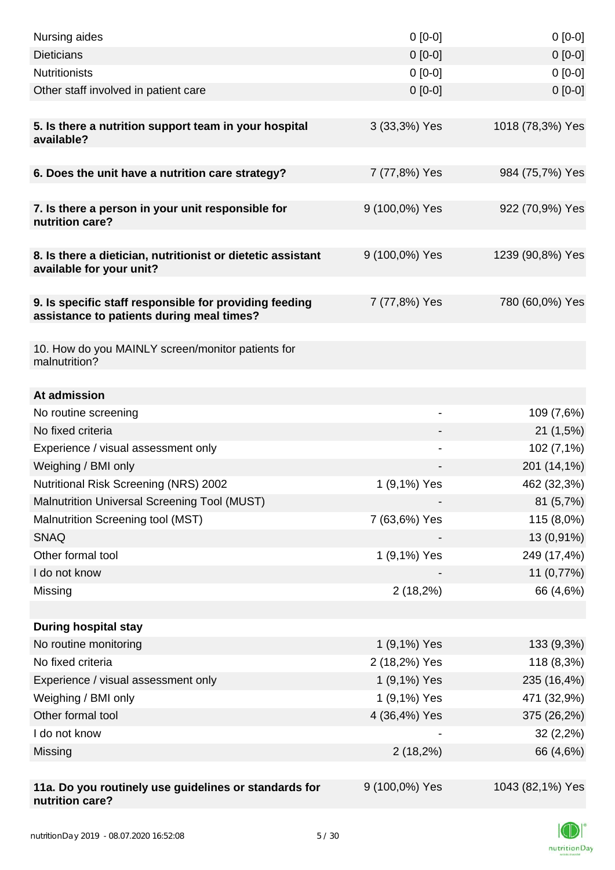| Nursing aides                                                                                       | $0 [0-0]$                    | $0[0-0]$         |
|-----------------------------------------------------------------------------------------------------|------------------------------|------------------|
| <b>Dieticians</b>                                                                                   | $0 [0-0]$                    | $0[0-0]$         |
| <b>Nutritionists</b>                                                                                | $0[0-0]$                     | $0[0-0]$         |
| Other staff involved in patient care                                                                | $0$ [0-0]                    | $0[0-0]$         |
|                                                                                                     |                              |                  |
| 5. Is there a nutrition support team in your hospital<br>available?                                 | 3 (33,3%) Yes                | 1018 (78,3%) Yes |
| 6. Does the unit have a nutrition care strategy?                                                    | 7 (77,8%) Yes                | 984 (75,7%) Yes  |
|                                                                                                     |                              |                  |
| 7. Is there a person in your unit responsible for<br>nutrition care?                                | 9 (100,0%) Yes               | 922 (70,9%) Yes  |
| 8. Is there a dietician, nutritionist or dietetic assistant<br>available for your unit?             | 9 (100,0%) Yes               | 1239 (90,8%) Yes |
|                                                                                                     |                              |                  |
| 9. Is specific staff responsible for providing feeding<br>assistance to patients during meal times? | 7 (77,8%) Yes                | 780 (60,0%) Yes  |
|                                                                                                     |                              |                  |
| 10. How do you MAINLY screen/monitor patients for<br>malnutrition?                                  |                              |                  |
| At admission                                                                                        |                              |                  |
| No routine screening                                                                                | $\qquad \qquad \blacksquare$ | 109 (7,6%)       |
| No fixed criteria                                                                                   |                              | 21(1,5%)         |
| Experience / visual assessment only                                                                 |                              | 102 (7,1%)       |
| Weighing / BMI only                                                                                 |                              | 201 (14,1%)      |
| Nutritional Risk Screening (NRS) 2002                                                               | 1 (9,1%) Yes                 | 462 (32,3%)      |
| <b>Malnutrition Universal Screening Tool (MUST)</b>                                                 |                              | 81(5,7%)         |
| Malnutrition Screening tool (MST)                                                                   | 7 (63,6%) Yes                | 115 (8,0%)       |
| <b>SNAQ</b>                                                                                         |                              | 13 (0,91%)       |
| Other formal tool                                                                                   | 1 (9,1%) Yes                 | 249 (17,4%)      |
| I do not know                                                                                       |                              | 11 (0,77%)       |
| Missing                                                                                             | $2(18,2\%)$                  | 66 (4,6%)        |
|                                                                                                     |                              |                  |
| <b>During hospital stay</b>                                                                         |                              |                  |
| No routine monitoring                                                                               | 1 (9,1%) Yes                 | 133 (9,3%)       |
| No fixed criteria                                                                                   | 2 (18,2%) Yes                | 118 (8,3%)       |
| Experience / visual assessment only                                                                 | 1 (9,1%) Yes                 | 235 (16,4%)      |
| Weighing / BMI only                                                                                 | 1 (9,1%) Yes                 | 471 (32,9%)      |
| Other formal tool                                                                                   | 4 (36,4%) Yes                | 375 (26,2%)      |
| I do not know                                                                                       |                              | 32(2,2%)         |
| Missing                                                                                             | $2(18,2\%)$                  | 66 (4,6%)        |
|                                                                                                     |                              |                  |
| 11a. Do you routinely use guidelines or standards for<br>nutrition care?                            | 9 (100,0%) Yes               | 1043 (82,1%) Yes |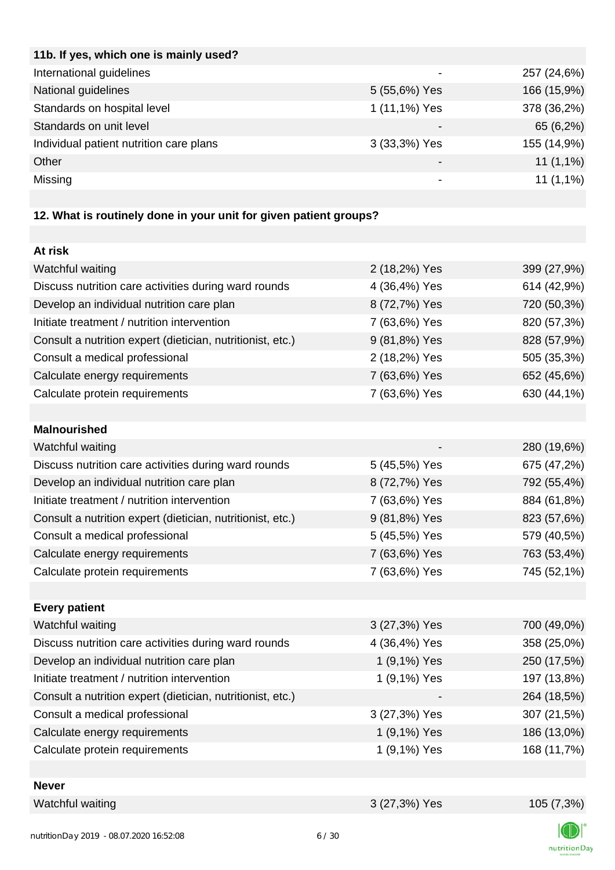| 11b. If yes, which one is mainly used?  |               |             |
|-----------------------------------------|---------------|-------------|
| International guidelines                |               | 257 (24,6%) |
| National guidelines                     | 5 (55,6%) Yes | 166 (15,9%) |
| Standards on hospital level             | 1 (11,1%) Yes | 378 (36,2%) |
| Standards on unit level                 |               | 65 (6,2%)   |
| Individual patient nutrition care plans | 3 (33,3%) Yes | 155 (14,9%) |
| Other                                   |               | $11(1,1\%)$ |
| Missing                                 |               | $11(1,1\%)$ |
|                                         |               |             |

# **12. What is routinely done in your unit for given patient groups?**

| At risk                                                    |               |             |
|------------------------------------------------------------|---------------|-------------|
| Watchful waiting                                           | 2 (18,2%) Yes | 399 (27,9%) |
| Discuss nutrition care activities during ward rounds       | 4 (36,4%) Yes | 614 (42,9%) |
| Develop an individual nutrition care plan                  | 8 (72,7%) Yes | 720 (50,3%) |
| Initiate treatment / nutrition intervention                | 7 (63,6%) Yes | 820 (57,3%) |
| Consult a nutrition expert (dietician, nutritionist, etc.) | 9 (81,8%) Yes | 828 (57,9%) |
| Consult a medical professional                             | 2 (18,2%) Yes | 505 (35,3%) |
| Calculate energy requirements                              | 7 (63,6%) Yes | 652 (45,6%) |
| Calculate protein requirements                             | 7 (63,6%) Yes | 630 (44,1%) |
|                                                            |               |             |
| <b>Malnourished</b>                                        |               |             |
| Watchful waiting                                           |               | 280 (19,6%) |
| Discuss nutrition care activities during ward rounds       | 5 (45,5%) Yes | 675 (47,2%) |
| Develop an individual nutrition care plan                  | 8 (72,7%) Yes | 792 (55,4%) |
| Initiate treatment / nutrition intervention                | 7 (63,6%) Yes | 884 (61,8%) |
| Consult a nutrition expert (dietician, nutritionist, etc.) | 9 (81,8%) Yes | 823 (57,6%) |
| Consult a medical professional                             | 5 (45,5%) Yes | 579 (40,5%) |
| Calculate energy requirements                              | 7 (63,6%) Yes | 763 (53,4%) |
| Calculate protein requirements                             | 7 (63,6%) Yes | 745 (52,1%) |
|                                                            |               |             |
| <b>Every patient</b>                                       |               |             |
| Watchful waiting                                           | 3 (27,3%) Yes | 700 (49,0%) |
| Discuss nutrition care activities during ward rounds       | 4 (36,4%) Yes | 358 (25,0%) |
| Develop an individual nutrition care plan                  | 1 (9,1%) Yes  | 250 (17,5%) |
| Initiate treatment / nutrition intervention                | 1 (9,1%) Yes  | 197 (13,8%) |
| Consult a nutrition expert (dietician, nutritionist, etc.) |               | 264 (18,5%) |
| Consult a medical professional                             | 3 (27,3%) Yes | 307 (21,5%) |
| Calculate energy requirements                              | 1 (9,1%) Yes  | 186 (13,0%) |
| Calculate protein requirements                             | 1 (9,1%) Yes  | 168 (11,7%) |
|                                                            |               |             |
| <b>Never</b>                                               |               |             |
| Watchful waiting                                           | 3 (27,3%) Yes | 105 (7,3%)  |

 $\Box$ nutritionDay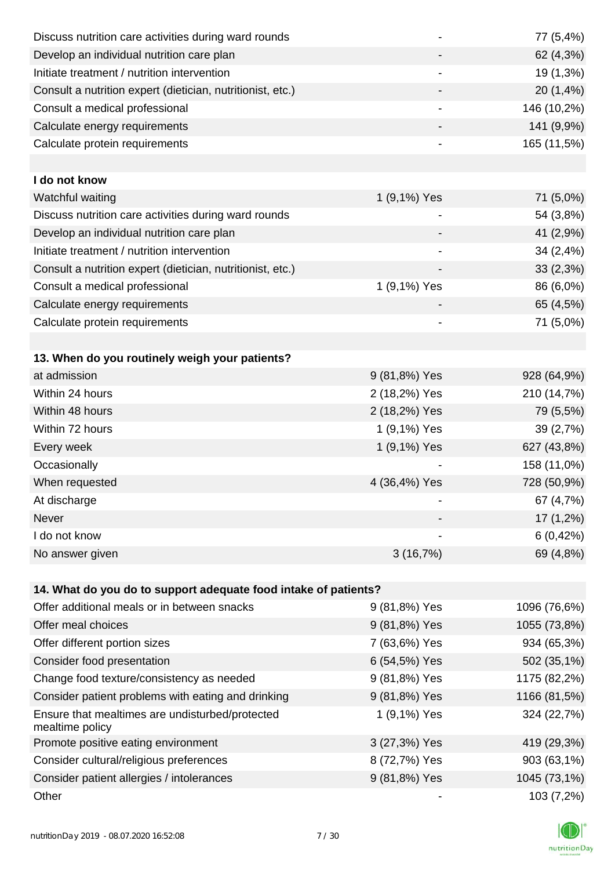| Discuss nutrition care activities during ward rounds               |               | 77 (5,4%)    |
|--------------------------------------------------------------------|---------------|--------------|
| Develop an individual nutrition care plan                          |               | 62 (4,3%)    |
| Initiate treatment / nutrition intervention                        |               | 19 (1,3%)    |
| Consult a nutrition expert (dietician, nutritionist, etc.)         |               | 20 (1,4%)    |
| Consult a medical professional                                     |               | 146 (10,2%)  |
| Calculate energy requirements                                      |               | 141 (9,9%)   |
| Calculate protein requirements                                     | -             | 165 (11,5%)  |
|                                                                    |               |              |
| I do not know                                                      |               |              |
| Watchful waiting                                                   | 1 (9,1%) Yes  | 71 (5,0%)    |
| Discuss nutrition care activities during ward rounds               |               | 54 (3,8%)    |
| Develop an individual nutrition care plan                          |               | 41 (2,9%)    |
| Initiate treatment / nutrition intervention                        |               | 34 (2,4%)    |
| Consult a nutrition expert (dietician, nutritionist, etc.)         |               | 33 (2,3%)    |
| Consult a medical professional                                     | 1 (9,1%) Yes  | 86 (6,0%)    |
| Calculate energy requirements                                      |               | 65 (4,5%)    |
| Calculate protein requirements                                     |               | 71 (5,0%)    |
|                                                                    |               |              |
| 13. When do you routinely weigh your patients?                     |               |              |
| at admission                                                       | 9 (81,8%) Yes | 928 (64,9%)  |
| Within 24 hours                                                    | 2 (18,2%) Yes | 210 (14,7%)  |
| Within 48 hours                                                    | 2 (18,2%) Yes | 79 (5,5%)    |
| Within 72 hours                                                    | 1 (9,1%) Yes  | 39 (2,7%)    |
| Every week                                                         | 1 (9,1%) Yes  | 627 (43,8%)  |
| Occasionally                                                       |               | 158 (11,0%)  |
| When requested                                                     | 4 (36,4%) Yes | 728 (50,9%)  |
| At discharge                                                       |               | 67 (4,7%)    |
| Never                                                              |               | $17(1,2\%)$  |
| I do not know                                                      |               | 6(0,42%)     |
| No answer given                                                    | 3(16,7%)      | 69 (4,8%)    |
|                                                                    |               |              |
| 14. What do you do to support adequate food intake of patients?    |               |              |
| Offer additional meals or in between snacks                        | 9 (81,8%) Yes | 1096 (76,6%) |
| Offer meal choices                                                 | 9 (81,8%) Yes | 1055 (73,8%) |
| Offer different portion sizes                                      | 7 (63,6%) Yes | 934 (65,3%)  |
| Consider food presentation                                         | 6 (54,5%) Yes | 502 (35,1%)  |
| Change food texture/consistency as needed                          | 9 (81,8%) Yes | 1175 (82,2%) |
| Consider patient problems with eating and drinking                 | 9 (81,8%) Yes | 1166 (81,5%) |
| Ensure that mealtimes are undisturbed/protected<br>mealtime policy | 1 (9,1%) Yes  | 324 (22,7%)  |
| Promote positive eating environment                                | 3 (27,3%) Yes | 419 (29,3%)  |
| Consider cultural/religious preferences                            | 8 (72,7%) Yes | 903 (63,1%)  |
| Consider patient allergies / intolerances                          | 9 (81,8%) Yes | 1045 (73,1%) |
| Other                                                              |               | 103 (7,2%)   |

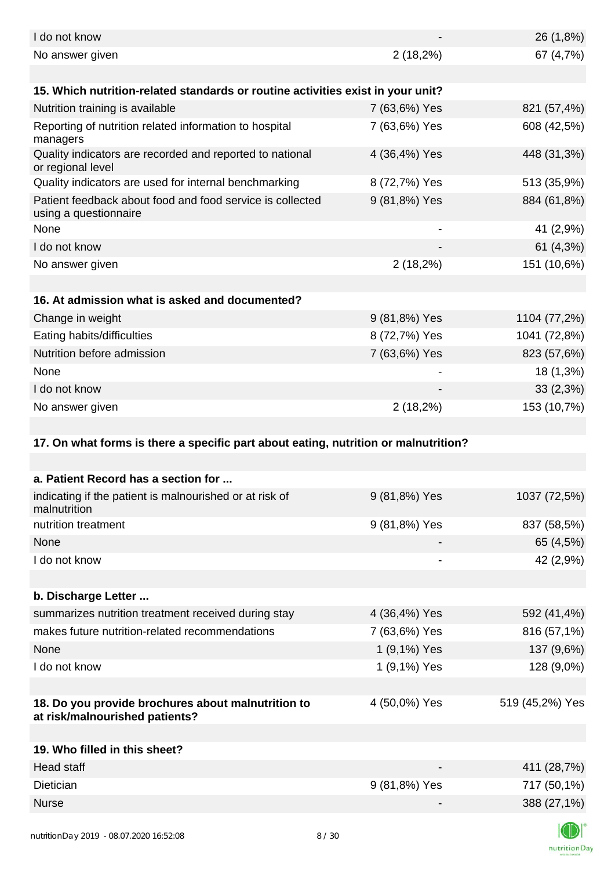| I do not know                                                                        |               | 26 (1,8%)       |
|--------------------------------------------------------------------------------------|---------------|-----------------|
| No answer given                                                                      | $2(18,2\%)$   | 67 (4,7%)       |
| 15. Which nutrition-related standards or routine activities exist in your unit?      |               |                 |
| Nutrition training is available                                                      | 7 (63,6%) Yes | 821 (57,4%)     |
| Reporting of nutrition related information to hospital<br>managers                   | 7 (63,6%) Yes | 608 (42,5%)     |
| Quality indicators are recorded and reported to national<br>or regional level        | 4 (36,4%) Yes | 448 (31,3%)     |
| Quality indicators are used for internal benchmarking                                | 8 (72,7%) Yes | 513 (35,9%)     |
| Patient feedback about food and food service is collected<br>using a questionnaire   | 9 (81,8%) Yes | 884 (61,8%)     |
| None                                                                                 |               | 41 (2,9%)       |
| I do not know                                                                        |               | 61 (4,3%)       |
| No answer given                                                                      | $2(18,2\%)$   | 151 (10,6%)     |
|                                                                                      |               |                 |
| 16. At admission what is asked and documented?                                       |               |                 |
| Change in weight                                                                     | 9 (81,8%) Yes | 1104 (77,2%)    |
| Eating habits/difficulties                                                           | 8 (72,7%) Yes | 1041 (72,8%)    |
| Nutrition before admission                                                           | 7 (63,6%) Yes | 823 (57,6%)     |
| None                                                                                 |               | 18 (1,3%)       |
| I do not know                                                                        |               | 33(2,3%)        |
| No answer given                                                                      | $2(18,2\%)$   | 153 (10,7%)     |
|                                                                                      |               |                 |
| 17. On what forms is there a specific part about eating, nutrition or malnutrition?  |               |                 |
|                                                                                      |               |                 |
| a. Patient Record has a section for                                                  |               |                 |
| indicating if the patient is malnourished or at risk of<br>malnutrition              | 9 (81,8%) Yes | 1037 (72,5%)    |
| nutrition treatment                                                                  | 9 (81,8%) Yes | 837 (58,5%)     |
| None                                                                                 |               | 65 (4,5%)       |
| I do not know                                                                        |               | 42 (2,9%)       |
|                                                                                      |               |                 |
| b. Discharge Letter                                                                  |               |                 |
| summarizes nutrition treatment received during stay                                  | 4 (36,4%) Yes | 592 (41,4%)     |
| makes future nutrition-related recommendations                                       | 7 (63,6%) Yes | 816 (57,1%)     |
| None                                                                                 | 1 (9,1%) Yes  | 137 (9,6%)      |
| I do not know                                                                        | 1 (9,1%) Yes  | 128 (9,0%)      |
|                                                                                      |               |                 |
| 18. Do you provide brochures about malnutrition to<br>at risk/malnourished patients? | 4 (50,0%) Yes | 519 (45,2%) Yes |
| 19. Who filled in this sheet?                                                        |               |                 |
| <b>Head staff</b>                                                                    |               | 411 (28,7%)     |
| Dietician                                                                            | 9 (81,8%) Yes | 717 (50,1%)     |
| <b>Nurse</b>                                                                         |               |                 |
|                                                                                      |               | 388 (27,1%)     |
|                                                                                      |               | $\blacksquare$  |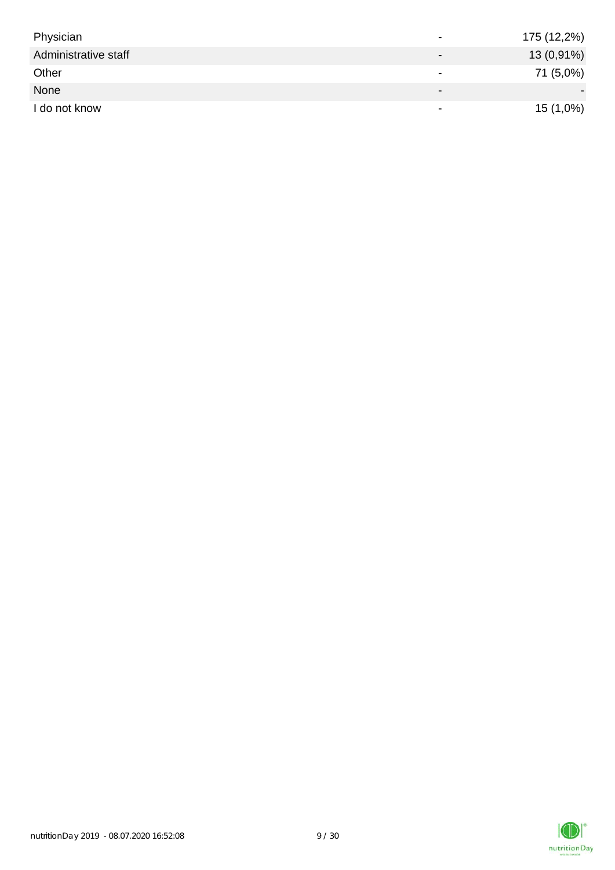| Physician            | $\overline{\phantom{0}}$ | 175 (12,2%) |
|----------------------|--------------------------|-------------|
| Administrative staff |                          | 13 (0,91%)  |
| Other                | $\overline{\phantom{0}}$ | 71 (5,0%)   |
| None                 | $\overline{\phantom{0}}$ |             |
| I do not know        | $\overline{\phantom{a}}$ | $15(1,0\%)$ |

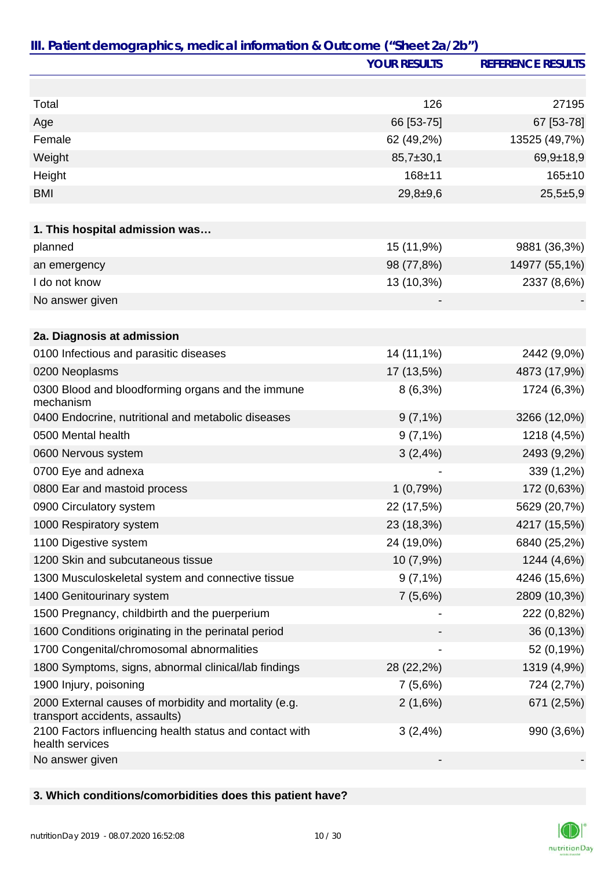|                                                                                         | <b>YOUR RESULTS</b> | <b>REFERENCE RESULTS</b> |
|-----------------------------------------------------------------------------------------|---------------------|--------------------------|
|                                                                                         |                     |                          |
| Total                                                                                   | 126                 | 27195                    |
| Age                                                                                     | 66 [53-75]          | 67 [53-78]               |
| Female                                                                                  | 62 (49,2%)          | 13525 (49,7%)            |
| Weight                                                                                  | $85,7 \pm 30,1$     | $69,9+18,9$              |
| Height                                                                                  | 168±11              | $165 \pm 10$             |
| <b>BMI</b>                                                                              | $29,8+9,6$          | $25,5+5,9$               |
|                                                                                         |                     |                          |
| 1. This hospital admission was                                                          |                     |                          |
| planned                                                                                 | 15 (11,9%)          | 9881 (36,3%)             |
| an emergency                                                                            | 98 (77,8%)          | 14977 (55,1%)            |
| I do not know                                                                           | 13 (10,3%)          | 2337 (8,6%)              |
| No answer given                                                                         |                     |                          |
|                                                                                         |                     |                          |
| 2a. Diagnosis at admission                                                              |                     |                          |
| 0100 Infectious and parasitic diseases                                                  | 14 (11,1%)          | 2442 (9,0%)              |
| 0200 Neoplasms                                                                          | 17 (13,5%)          | 4873 (17,9%)             |
| 0300 Blood and bloodforming organs and the immune<br>mechanism                          | $8(6,3\%)$          | 1724 (6,3%)              |
| 0400 Endocrine, nutritional and metabolic diseases                                      | $9(7,1\%)$          | 3266 (12,0%)             |
| 0500 Mental health                                                                      | $9(7,1\%)$          | 1218 (4,5%)              |
| 0600 Nervous system                                                                     | 3(2,4%)             | 2493 (9,2%)              |
| 0700 Eye and adnexa                                                                     |                     | 339 (1,2%)               |
| 0800 Ear and mastoid process                                                            | 1(0,79%)            | 172 (0,63%)              |
| 0900 Circulatory system                                                                 | 22 (17,5%)          | 5629 (20,7%)             |
| 1000 Respiratory system                                                                 | 23 (18,3%)          | 4217 (15,5%)             |
| 1100 Digestive system                                                                   | 24 (19,0%)          | 6840 (25,2%)             |
| 1200 Skin and subcutaneous tissue                                                       | 10 (7,9%)           | 1244 (4,6%)              |
| 1300 Musculoskeletal system and connective tissue                                       | $9(7,1\%)$          | 4246 (15,6%)             |
| 1400 Genitourinary system                                                               | 7(5,6%)             | 2809 (10,3%)             |
| 1500 Pregnancy, childbirth and the puerperium                                           |                     | 222 (0,82%)              |
| 1600 Conditions originating in the perinatal period                                     |                     | 36 (0,13%)               |
| 1700 Congenital/chromosomal abnormalities                                               |                     | 52 (0,19%)               |
| 1800 Symptoms, signs, abnormal clinical/lab findings                                    | 28 (22,2%)          | 1319 (4,9%)              |
| 1900 Injury, poisoning                                                                  | 7(5,6%)             | 724 (2,7%)               |
| 2000 External causes of morbidity and mortality (e.g.<br>transport accidents, assaults) | 2(1,6%)             | 671 (2,5%)               |
| 2100 Factors influencing health status and contact with<br>health services              | 3(2,4%)             | 990 (3,6%)               |
| No answer given                                                                         |                     |                          |

**3. Which conditions/comorbidities does this patient have?**

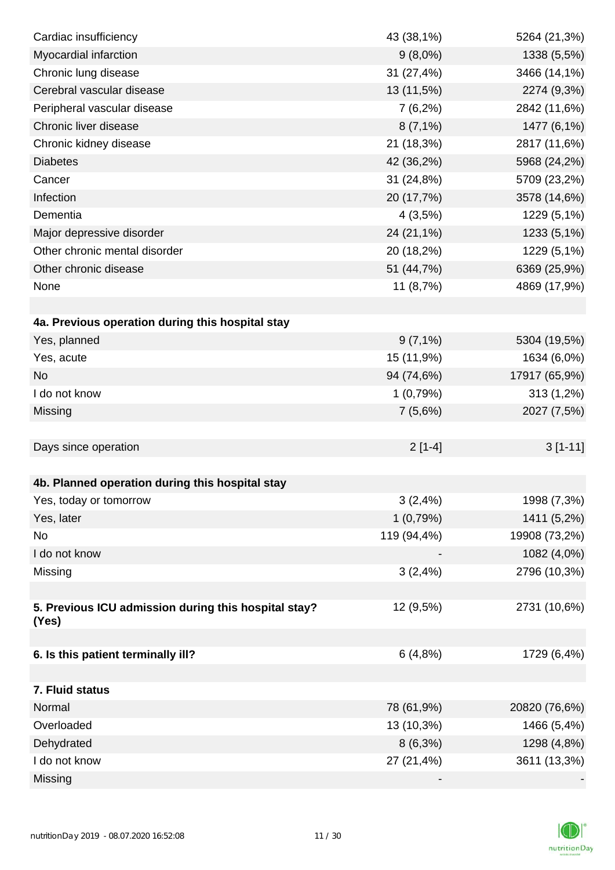| Cardiac insufficiency                                | 43 (38,1%)  | 5264 (21,3%)  |
|------------------------------------------------------|-------------|---------------|
| Myocardial infarction                                | $9(8,0\%)$  | 1338 (5,5%)   |
| Chronic lung disease                                 | 31 (27,4%)  | 3466 (14,1%)  |
| Cerebral vascular disease                            | 13 (11,5%)  | 2274 (9,3%)   |
| Peripheral vascular disease                          | $7(6,2\%)$  | 2842 (11,6%)  |
| Chronic liver disease                                | $8(7,1\%)$  | 1477 (6,1%)   |
| Chronic kidney disease                               | 21 (18,3%)  | 2817 (11,6%)  |
| <b>Diabetes</b>                                      | 42 (36,2%)  | 5968 (24,2%)  |
| Cancer                                               | 31 (24,8%)  | 5709 (23,2%)  |
| Infection                                            | 20 (17,7%)  | 3578 (14,6%)  |
| Dementia                                             | 4(3,5%)     | 1229 (5,1%)   |
| Major depressive disorder                            | 24 (21,1%)  | 1233 (5,1%)   |
| Other chronic mental disorder                        | 20 (18,2%)  | 1229 (5,1%)   |
| Other chronic disease                                | 51 (44,7%)  | 6369 (25,9%)  |
| None                                                 | 11 $(8,7%)$ | 4869 (17,9%)  |
|                                                      |             |               |
| 4a. Previous operation during this hospital stay     |             |               |
| Yes, planned                                         | $9(7,1\%)$  | 5304 (19,5%)  |
| Yes, acute                                           | 15 (11,9%)  | 1634 (6,0%)   |
| <b>No</b>                                            | 94 (74,6%)  | 17917 (65,9%) |
| I do not know                                        | 1(0,79%)    | 313 (1,2%)    |
| Missing                                              | 7(5,6%)     | 2027 (7,5%)   |
|                                                      |             |               |
| Days since operation                                 | $2[1-4]$    | $3[1-11]$     |
|                                                      |             |               |
| 4b. Planned operation during this hospital stay      |             |               |
| Yes, today or tomorrow                               | 3(2,4%)     | 1998 (7,3%)   |
| Yes, later                                           | 1(0,79%)    | 1411 (5,2%)   |
| No                                                   | 119 (94,4%) | 19908 (73,2%) |
| I do not know                                        |             | 1082 (4,0%)   |
| Missing                                              | 3(2,4%)     | 2796 (10,3%)  |
|                                                      |             |               |
| 5. Previous ICU admission during this hospital stay? | 12 (9,5%)   | 2731 (10,6%)  |
| (Yes)                                                |             |               |
|                                                      |             |               |
| 6. Is this patient terminally ill?                   | 6(4,8%)     | 1729 (6,4%)   |
|                                                      |             |               |
| 7. Fluid status                                      |             |               |
| Normal                                               | 78 (61,9%)  | 20820 (76,6%) |
| Overloaded                                           | 13 (10,3%)  | 1466 (5,4%)   |
| Dehydrated                                           | $8(6,3\%)$  | 1298 (4,8%)   |
| I do not know                                        | 27 (21,4%)  | 3611 (13,3%)  |
| Missing                                              |             |               |

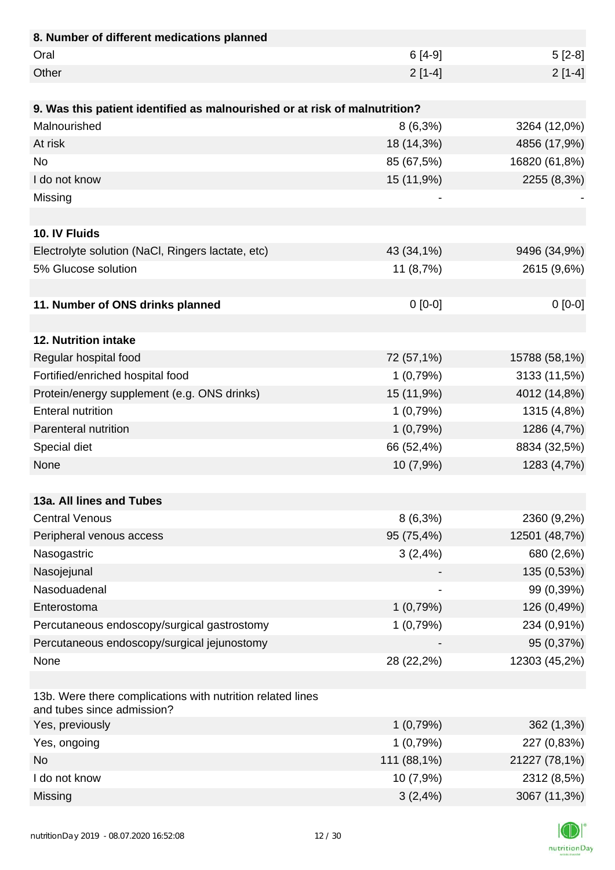| 8. Number of different medications planned                                               |             |               |
|------------------------------------------------------------------------------------------|-------------|---------------|
| Oral                                                                                     | $6[4-9]$    | $5[2-8]$      |
| Other                                                                                    | $2[1-4]$    | $2[1-4]$      |
|                                                                                          |             |               |
| 9. Was this patient identified as malnourished or at risk of malnutrition?               |             |               |
| Malnourished                                                                             | $8(6,3\%)$  | 3264 (12,0%)  |
| At risk                                                                                  | 18 (14,3%)  | 4856 (17,9%)  |
| <b>No</b>                                                                                | 85 (67,5%)  | 16820 (61,8%) |
| I do not know                                                                            | 15 (11,9%)  | 2255 (8,3%)   |
| Missing                                                                                  |             |               |
|                                                                                          |             |               |
| 10. IV Fluids                                                                            |             |               |
| Electrolyte solution (NaCl, Ringers lactate, etc)                                        | 43 (34,1%)  | 9496 (34,9%)  |
| 5% Glucose solution                                                                      | 11 (8,7%)   | 2615 (9,6%)   |
|                                                                                          |             |               |
| 11. Number of ONS drinks planned                                                         | $0 [0-0]$   | $0[0-0]$      |
|                                                                                          |             |               |
| 12. Nutrition intake                                                                     |             |               |
| Regular hospital food                                                                    | 72 (57,1%)  | 15788 (58,1%) |
| Fortified/enriched hospital food                                                         | 1(0,79%)    | 3133 (11,5%)  |
| Protein/energy supplement (e.g. ONS drinks)                                              | 15 (11,9%)  | 4012 (14,8%)  |
| <b>Enteral nutrition</b>                                                                 | 1(0,79%)    | 1315 (4,8%)   |
| Parenteral nutrition                                                                     | 1(0,79%)    | 1286 (4,7%)   |
| Special diet                                                                             | 66 (52,4%)  | 8834 (32,5%)  |
| None                                                                                     | 10 (7,9%)   | 1283 (4,7%)   |
|                                                                                          |             |               |
| 13a. All lines and Tubes                                                                 |             |               |
| <b>Central Venous</b>                                                                    | $8(6,3\%)$  | 2360 (9,2%)   |
| Peripheral venous access                                                                 | 95 (75,4%)  | 12501 (48,7%) |
| Nasogastric                                                                              | 3(2,4%)     | 680 (2,6%)    |
| Nasojejunal                                                                              |             | 135 (0,53%)   |
| Nasoduadenal                                                                             |             | 99 (0,39%)    |
| Enterostoma                                                                              | 1(0,79%)    | 126 (0,49%)   |
| Percutaneous endoscopy/surgical gastrostomy                                              | 1(0,79%)    | 234 (0,91%)   |
| Percutaneous endoscopy/surgical jejunostomy                                              |             | 95 (0,37%)    |
| None                                                                                     | 28 (22,2%)  | 12303 (45,2%) |
|                                                                                          |             |               |
| 13b. Were there complications with nutrition related lines<br>and tubes since admission? |             |               |
| Yes, previously                                                                          | 1(0,79%)    | 362 (1,3%)    |
| Yes, ongoing                                                                             | 1(0,79%)    | 227 (0,83%)   |
| <b>No</b>                                                                                | 111 (88,1%) | 21227 (78,1%) |
| I do not know                                                                            | 10 (7,9%)   | 2312 (8,5%)   |
| Missing                                                                                  | 3(2,4%)     | 3067 (11,3%)  |

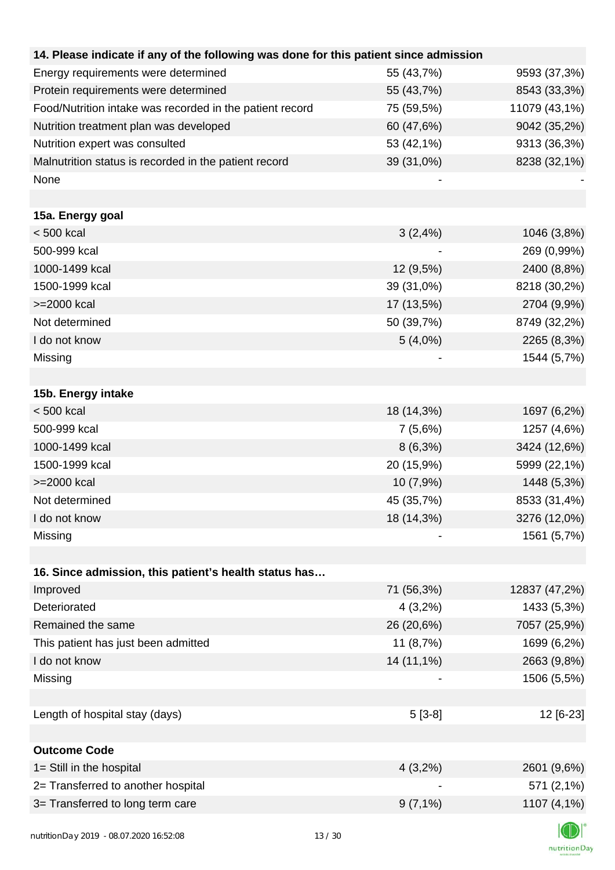| 14. Please indicate if any of the following was done for this patient since admission |             |               |
|---------------------------------------------------------------------------------------|-------------|---------------|
| Energy requirements were determined                                                   | 55 (43,7%)  | 9593 (37,3%)  |
| Protein requirements were determined                                                  | 55 (43,7%)  | 8543 (33,3%)  |
| Food/Nutrition intake was recorded in the patient record                              | 75 (59,5%)  | 11079 (43,1%) |
| Nutrition treatment plan was developed                                                | 60 (47,6%)  | 9042 (35,2%)  |
| Nutrition expert was consulted                                                        | 53 (42,1%)  | 9313 (36,3%)  |
| Malnutrition status is recorded in the patient record                                 | 39 (31,0%)  | 8238 (32,1%)  |
| None                                                                                  |             |               |
|                                                                                       |             |               |
| 15a. Energy goal                                                                      |             |               |
| $< 500$ kcal                                                                          | 3(2,4%)     | 1046 (3,8%)   |
| 500-999 kcal                                                                          |             | 269 (0,99%)   |
| 1000-1499 kcal                                                                        | $12(9,5\%)$ | 2400 (8,8%)   |
| 1500-1999 kcal                                                                        | 39 (31,0%)  | 8218 (30,2%)  |
| >=2000 kcal                                                                           | 17 (13,5%)  | 2704 (9,9%)   |
| Not determined                                                                        | 50 (39,7%)  | 8749 (32,2%)  |
| I do not know                                                                         | $5(4,0\%)$  | 2265 (8,3%)   |
| Missing                                                                               |             | 1544 (5,7%)   |
|                                                                                       |             |               |
| 15b. Energy intake                                                                    |             |               |
| $< 500$ kcal                                                                          | 18 (14,3%)  | 1697 (6,2%)   |
| 500-999 kcal                                                                          | 7(5,6%)     | 1257 (4,6%)   |
| 1000-1499 kcal                                                                        | $8(6,3\%)$  | 3424 (12,6%)  |
| 1500-1999 kcal                                                                        | 20 (15,9%)  | 5999 (22,1%)  |
| >=2000 kcal                                                                           | 10 (7,9%)   | 1448 (5,3%)   |
| Not determined                                                                        | 45 (35,7%)  | 8533 (31,4%)  |
| I do not know                                                                         | 18 (14,3%)  | 3276 (12,0%)  |
| Missing                                                                               |             | 1561 (5,7%)   |
|                                                                                       |             |               |
| 16. Since admission, this patient's health status has                                 |             |               |
| Improved                                                                              | 71 (56,3%)  | 12837 (47,2%) |
| Deteriorated                                                                          | 4(3,2%)     | 1433 (5,3%)   |
| Remained the same                                                                     | 26 (20,6%)  | 7057 (25,9%)  |
| This patient has just been admitted                                                   | 11 (8,7%)   | 1699 (6,2%)   |
| I do not know                                                                         | 14 (11,1%)  | 2663 (9,8%)   |
| Missing                                                                               |             | 1506 (5,5%)   |
|                                                                                       |             |               |
| Length of hospital stay (days)                                                        | $5[3-8]$    | 12 [6-23]     |
|                                                                                       |             |               |
| <b>Outcome Code</b>                                                                   |             |               |
| 1= Still in the hospital                                                              | $4(3,2\%)$  | 2601 (9,6%)   |
| 2= Transferred to another hospital                                                    |             | 571 (2,1%)    |
| 3= Transferred to long term care                                                      | $9(7,1\%)$  | 1107 (4,1%)   |
| 00.07.3030.14.53.00                                                                   |             |               |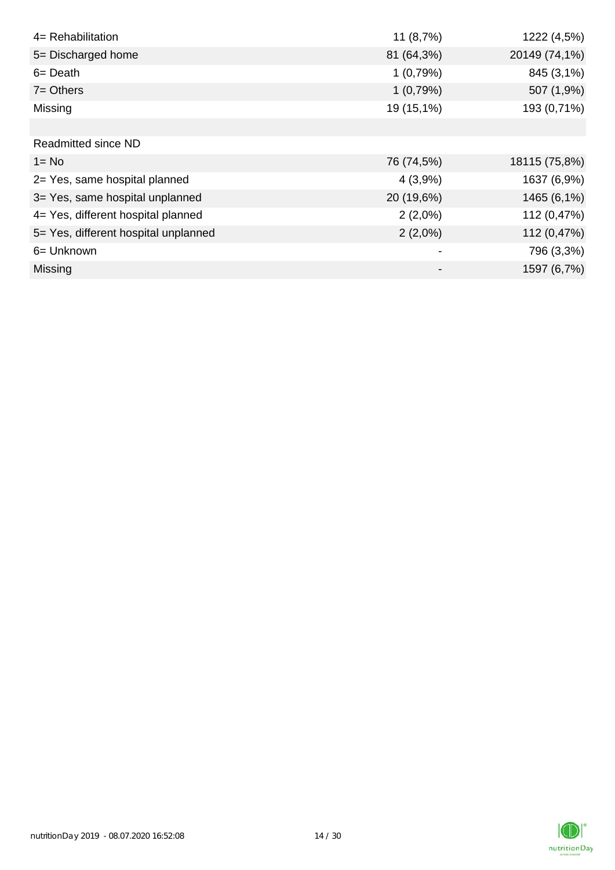| 4= Rehabilitation                    | 11 (8,7%)  | 1222 (4,5%)   |
|--------------------------------------|------------|---------------|
| 5= Discharged home                   | 81 (64,3%) | 20149 (74,1%) |
| $6 = Death$                          | 1(0,79%)   | 845 (3,1%)    |
| $7 =$ Others                         | 1(0,79%)   | 507 (1,9%)    |
| Missing                              | 19 (15,1%) | 193 (0,71%)   |
|                                      |            |               |
| Readmitted since ND                  |            |               |
| $1 = No$                             | 76 (74,5%) | 18115 (75,8%) |
| 2= Yes, same hospital planned        | 4(3,9%)    | 1637 (6,9%)   |
| 3= Yes, same hospital unplanned      | 20 (19,6%) | 1465 (6,1%)   |
| 4= Yes, different hospital planned   | $2(2,0\%)$ | 112 (0,47%)   |
| 5= Yes, different hospital unplanned | $2(2,0\%)$ | 112 (0,47%)   |
| 6= Unknown                           |            | 796 (3,3%)    |
| Missing                              |            | 1597 (6,7%)   |

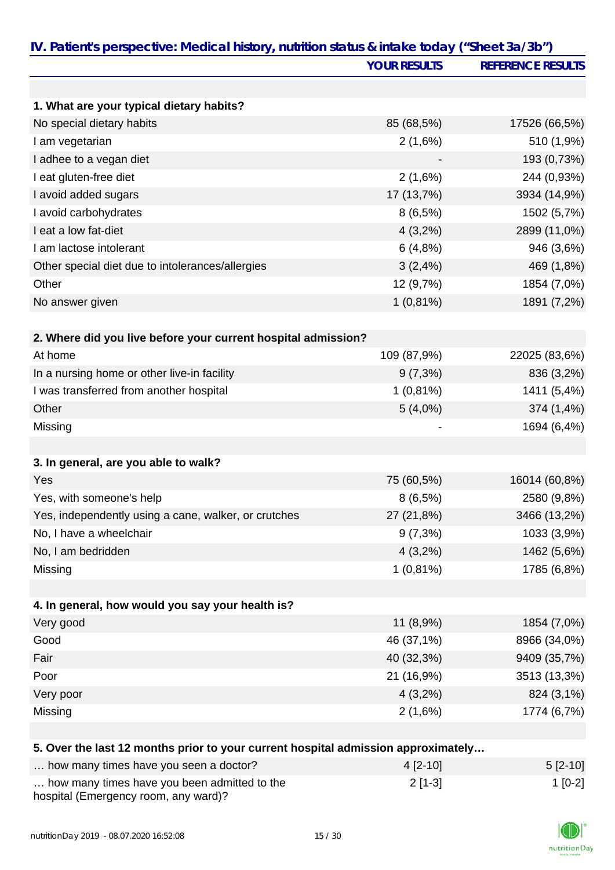| IV. Patient's perspective: Medical history, nutrition status & intake today ("Sheet 3a/3b") |                     |                          |
|---------------------------------------------------------------------------------------------|---------------------|--------------------------|
|                                                                                             | <b>YOUR RESULTS</b> | <b>REFERENCE RESULTS</b> |
|                                                                                             |                     |                          |
| 1. What are your typical dietary habits?                                                    |                     |                          |
| No special dietary habits                                                                   | 85 (68,5%)          | 17526 (66,5%)            |
| I am vegetarian                                                                             | 2(1,6%)             | 510 (1,9%)               |
| I adhee to a vegan diet                                                                     |                     | 193 (0,73%)              |
| I eat gluten-free diet                                                                      | 2(1,6%)             | 244 (0,93%)              |
| I avoid added sugars                                                                        | 17 (13,7%)          | 3934 (14,9%)             |
| I avoid carbohydrates                                                                       | 8(6,5%)             | 1502 (5,7%)              |
| I eat a low fat-diet                                                                        | $4(3,2\%)$          | 2899 (11,0%)             |
| I am lactose intolerant                                                                     | 6(4,8%)             | 946 (3,6%)               |
| Other special diet due to intolerances/allergies                                            | 3(2,4%)             | 469 (1,8%)               |
| Other                                                                                       | 12 (9,7%)           | 1854 (7,0%)              |
| No answer given                                                                             | $1(0,81\%)$         | 1891 (7,2%)              |
|                                                                                             |                     |                          |
| 2. Where did you live before your current hospital admission?                               |                     |                          |
| At home                                                                                     | 109 (87,9%)         | 22025 (83,6%)            |
| In a nursing home or other live-in facility                                                 | 9(7,3%)             | 836 (3,2%)               |
| I was transferred from another hospital                                                     | $1(0,81\%)$         | 1411 (5,4%)              |
| Other                                                                                       | $5(4,0\%)$          | 374 (1,4%)               |
| Missing                                                                                     |                     | 1694 (6,4%)              |
|                                                                                             |                     |                          |
| 3. In general, are you able to walk?                                                        |                     |                          |
| Yes                                                                                         | 75 (60,5%)          | 16014 (60,8%)            |
| Yes, with someone's help                                                                    | 8(6,5%)             | 2580 (9,8%)              |
| Yes, independently using a cane, walker, or crutches                                        | 27 (21,8%)          | 3466 (13,2%)             |
| No, I have a wheelchair                                                                     | $9(7,3\%)$          | 1033 (3,9%)              |
| No, I am bedridden                                                                          | $4(3,2\%)$          | 1462 (5,6%)              |
| Missing                                                                                     | $1(0,81\%)$         | 1785 (6,8%)              |
|                                                                                             |                     |                          |
| 4. In general, how would you say your health is?                                            |                     |                          |
| Very good                                                                                   | 11 (8,9%)           | 1854 (7,0%)              |
| Good                                                                                        | 46 (37,1%)          | 8966 (34,0%)             |
| Fair                                                                                        | 40 (32,3%)          | 9409 (35,7%)             |
| Poor                                                                                        | 21 (16,9%)          | 3513 (13,3%)             |
| Very poor                                                                                   | $4(3,2\%)$          | 824 (3,1%)               |
| Missing                                                                                     | 2(1,6%)             | 1774 (6,7%)              |
|                                                                                             |                     |                          |
| 5. Over the last 12 months prior to your current hospital admission approximately           |                     |                          |
| how many times have you seen a doctor?                                                      | 4 [2-10]            | $5[2-10]$                |
| how many times have you been admitted to the                                                | $2[1-3]$            | $1[0-2]$                 |

| how many times have you been admitted to the |  |
|----------------------------------------------|--|
| hospital (Emergency room, any ward)?         |  |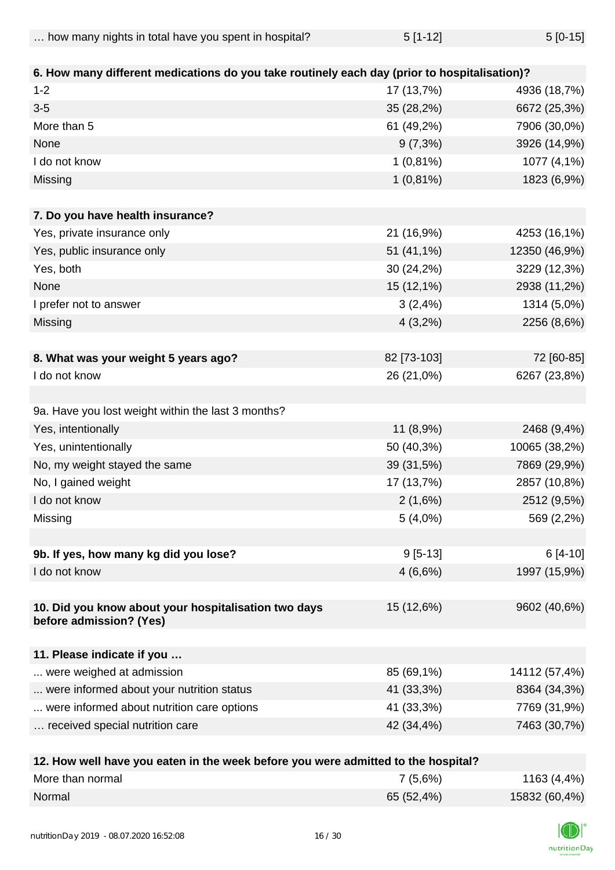| $5[1-12]$<br>how many nights in total have you spent in hospital? | $5[0-15]$ |
|-------------------------------------------------------------------|-----------|
|-------------------------------------------------------------------|-----------|

| 6. How many different medications do you take routinely each day (prior to hospitalisation)? |             |               |
|----------------------------------------------------------------------------------------------|-------------|---------------|
| $1 - 2$                                                                                      | 17 (13,7%)  | 4936 (18,7%)  |
| $3-5$                                                                                        | 35 (28,2%)  | 6672 (25,3%)  |
| More than 5                                                                                  | 61 (49,2%)  | 7906 (30,0%)  |
| None                                                                                         | $9(7,3\%)$  | 3926 (14,9%)  |
| I do not know                                                                                | $1(0,81\%)$ | 1077 (4,1%)   |
| Missing                                                                                      | $1(0,81\%)$ | 1823 (6,9%)   |
|                                                                                              |             |               |
| 7. Do you have health insurance?                                                             |             |               |
| Yes, private insurance only                                                                  | 21 (16,9%)  | 4253 (16,1%)  |
| Yes, public insurance only                                                                   | 51 (41,1%)  | 12350 (46,9%) |
| Yes, both                                                                                    | 30 (24,2%)  | 3229 (12,3%)  |
| None                                                                                         | 15 (12,1%)  | 2938 (11,2%)  |
| I prefer not to answer                                                                       | 3(2,4%)     | 1314 (5,0%)   |
| Missing                                                                                      | $4(3,2\%)$  | 2256 (8,6%)   |
|                                                                                              |             |               |
| 8. What was your weight 5 years ago?                                                         | 82 [73-103] | 72 [60-85]    |
| I do not know                                                                                | 26 (21,0%)  | 6267 (23,8%)  |
|                                                                                              |             |               |
| 9a. Have you lost weight within the last 3 months?                                           |             |               |
| Yes, intentionally                                                                           | 11 (8,9%)   | 2468 (9,4%)   |
| Yes, unintentionally                                                                         | 50 (40,3%)  | 10065 (38,2%) |
| No, my weight stayed the same                                                                | 39 (31,5%)  | 7869 (29,9%)  |
| No, I gained weight                                                                          | 17 (13,7%)  | 2857 (10,8%)  |
| I do not know                                                                                | 2(1,6%)     | 2512 (9,5%)   |
| Missing                                                                                      | $5(4,0\%)$  | 569 (2,2%)    |
|                                                                                              |             |               |
| 9b. If yes, how many kg did you lose?                                                        | $9[5-13]$   | $6[4-10]$     |
| I do not know                                                                                | 4(6,6%)     | 1997 (15,9%)  |
|                                                                                              |             |               |
| 10. Did you know about your hospitalisation two days                                         | 15 (12,6%)  | 9602 (40,6%)  |
| before admission? (Yes)                                                                      |             |               |
|                                                                                              |             |               |
| 11. Please indicate if you                                                                   |             |               |
| were weighed at admission                                                                    | 85 (69,1%)  | 14112 (57,4%) |
| were informed about your nutrition status                                                    | 41 (33,3%)  | 8364 (34,3%)  |
| were informed about nutrition care options                                                   | 41 (33,3%)  | 7769 (31,9%)  |
| received special nutrition care                                                              | 42 (34,4%)  | 7463 (30,7%)  |
|                                                                                              |             |               |

| 12. How well have you eaten in the week before you were admitted to the hospital? |            |               |
|-----------------------------------------------------------------------------------|------------|---------------|
| More than normal                                                                  | 7(5,6%)    | 1163 (4,4%)   |
| Normal                                                                            | 65 (52,4%) | 15832 (60,4%) |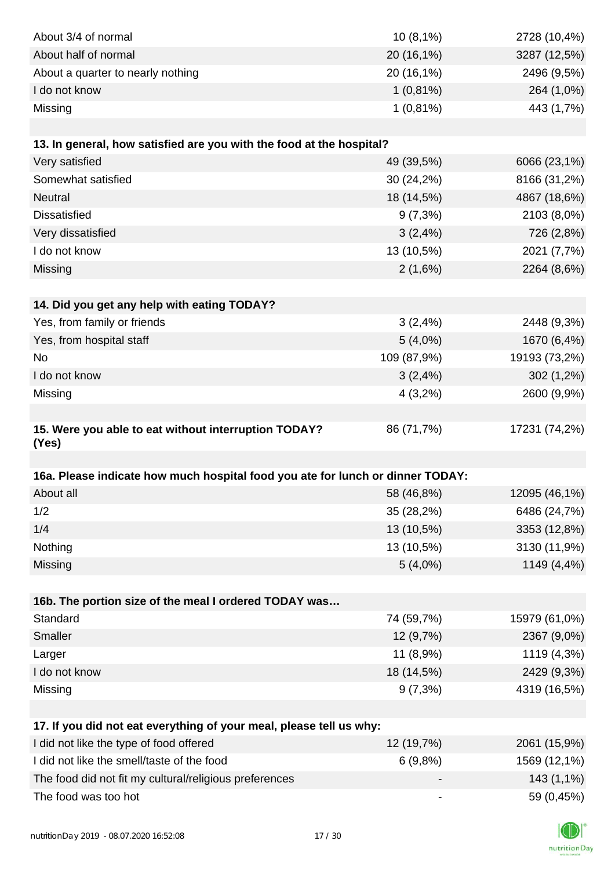| About 3/4 of normal                                                                                            | 10(8,1%)                     | 2728 (10,4%)               |
|----------------------------------------------------------------------------------------------------------------|------------------------------|----------------------------|
| About half of normal                                                                                           | 20 (16,1%)                   | 3287 (12,5%)               |
| About a quarter to nearly nothing                                                                              | 20 (16,1%)                   | 2496 (9,5%)                |
| I do not know                                                                                                  | $1(0,81\%)$                  | 264 (1,0%)                 |
| Missing                                                                                                        | $1(0,81\%)$                  | 443 (1,7%)                 |
|                                                                                                                |                              |                            |
| 13. In general, how satisfied are you with the food at the hospital?                                           |                              |                            |
| Very satisfied                                                                                                 | 49 (39,5%)                   | 6066 (23,1%)               |
| Somewhat satisfied                                                                                             | 30 (24,2%)                   | 8166 (31,2%)               |
| <b>Neutral</b>                                                                                                 | 18 (14,5%)                   | 4867 (18,6%)               |
| <b>Dissatisfied</b>                                                                                            | $9(7,3\%)$                   | 2103 (8,0%)                |
| Very dissatisfied                                                                                              | 3(2,4%)                      | 726 (2,8%)                 |
| I do not know                                                                                                  | 13 (10,5%)                   | 2021 (7,7%)                |
| Missing                                                                                                        | 2(1,6%)                      | 2264 (8,6%)                |
|                                                                                                                |                              |                            |
| 14. Did you get any help with eating TODAY?                                                                    |                              |                            |
| Yes, from family or friends                                                                                    | 3(2,4%)                      | 2448 (9,3%)                |
| Yes, from hospital staff                                                                                       | $5(4,0\%)$                   | 1670 (6,4%)                |
| No                                                                                                             | 109 (87,9%)                  | 19193 (73,2%)              |
| I do not know                                                                                                  | 3(2,4%)                      | 302 (1,2%)                 |
| Missing                                                                                                        | 4(3,2%)                      | 2600 (9,9%)                |
|                                                                                                                |                              |                            |
| 15. Were you able to eat without interruption TODAY?                                                           | 86 (71,7%)                   | 17231 (74,2%)              |
| (Yes)                                                                                                          |                              |                            |
|                                                                                                                |                              |                            |
| 16a. Please indicate how much hospital food you ate for lunch or dinner TODAY:                                 |                              |                            |
| About all                                                                                                      | 58 (46,8%)                   | 12095 (46,1%)              |
| 1/2                                                                                                            | 35 (28,2%)                   | 6486 (24,7%)               |
| 1/4                                                                                                            | 13 (10,5%)                   | 3353 (12,8%)               |
| Nothing                                                                                                        | 13 (10,5%)                   | 3130 (11,9%)               |
| Missing                                                                                                        | $5(4,0\%)$                   | 1149 (4,4%)                |
|                                                                                                                |                              |                            |
| 16b. The portion size of the meal I ordered TODAY was<br>Standard                                              | 74 (59,7%)                   |                            |
| Smaller                                                                                                        |                              | 15979 (61,0%)              |
|                                                                                                                | 12 (9,7%)                    | 2367 (9,0%)                |
| Larger<br>I do not know                                                                                        | 11 (8,9%)<br>18 (14,5%)      | 1119 (4,3%)<br>2429 (9,3%) |
|                                                                                                                |                              | 4319 (16,5%)               |
| Missing                                                                                                        | $9(7,3\%)$                   |                            |
|                                                                                                                |                              |                            |
| 17. If you did not eat everything of your meal, please tell us why:<br>I did not like the type of food offered | 12 (19,7%)                   | 2061 (15,9%)               |
| I did not like the smell/taste of the food                                                                     | 6(9,8%)                      | 1569 (12,1%)               |
| The food did not fit my cultural/religious preferences                                                         |                              | 143 (1,1%)                 |
| The food was too hot                                                                                           | $\qquad \qquad \blacksquare$ | 59 (0,45%)                 |
|                                                                                                                |                              |                            |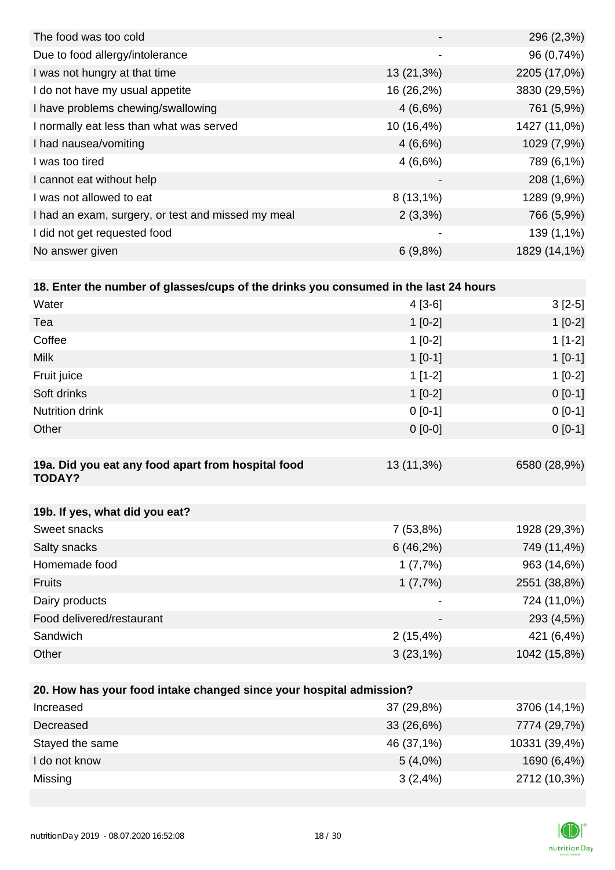|                          | 296 (2,3%)   |
|--------------------------|--------------|
| -                        | 96 (0,74%)   |
| 13 (21,3%)               | 2205 (17,0%) |
| 16 (26,2%)               | 3830 (29,5%) |
| 4(6,6%)                  | 761 (5,9%)   |
| 10 (16,4%)               | 1427 (11,0%) |
| 4(6,6%)                  | 1029 (7,9%)  |
| 4(6,6%)                  | 789 (6,1%)   |
| $\overline{\phantom{0}}$ | 208 (1,6%)   |
| $8(13,1\%)$              | 1289 (9,9%)  |
| $2(3,3\%)$               | 766 (5,9%)   |
| -                        | 139 (1,1%)   |
| 6(9,8%)                  | 1829 (14,1%) |
|                          |              |

| 18. Enter the number of glasses/cups of the drinks you consumed in the last 24 hours |            |              |
|--------------------------------------------------------------------------------------|------------|--------------|
| Water                                                                                | $4[3-6]$   | $3[2-5]$     |
| Tea                                                                                  | $1[0-2]$   | $1[0-2]$     |
| Coffee                                                                               | $1[0-2]$   | $1[1-2]$     |
| <b>Milk</b>                                                                          | $1[0-1]$   | $1$ [0-1]    |
| Fruit juice                                                                          | $1$ [1-2]  | $1[0-2]$     |
| Soft drinks                                                                          | $1[0-2]$   | $0[0-1]$     |
| <b>Nutrition drink</b>                                                               | $0$ [0-1]  | $0[0-1]$     |
| Other                                                                                | $0$ [0-0]  | $0[0-1]$     |
|                                                                                      |            |              |
| 19a. Did you eat any food apart from hospital food<br><b>TODAY?</b>                  | 13 (11,3%) | 6580 (28,9%) |

| 19b. If yes, what did you eat? |             |              |
|--------------------------------|-------------|--------------|
| Sweet snacks                   | 7(53,8%)    | 1928 (29,3%) |
| Salty snacks                   | 6(46,2%)    | 749 (11,4%)  |
| Homemade food                  | 1(7,7%)     | 963 (14,6%)  |
| <b>Fruits</b>                  | 1(7,7%)     | 2551 (38,8%) |
| Dairy products                 |             | 724 (11,0%)  |
| Food delivered/restaurant      |             | 293 (4,5%)   |
| Sandwich                       | $2(15,4\%)$ | 421 (6,4%)   |
| Other                          | $3(23,1\%)$ | 1042 (15,8%) |

| 20. How has your food intake changed since your hospital admission? |               |  |  |
|---------------------------------------------------------------------|---------------|--|--|
| 37 (29,8%)                                                          | 3706 (14,1%)  |  |  |
| 33 (26,6%)                                                          | 7774 (29,7%)  |  |  |
| 46 (37,1%)                                                          | 10331 (39,4%) |  |  |
| $5(4,0\%)$                                                          | 1690 (6,4%)   |  |  |
| 3(2,4%)                                                             | 2712 (10,3%)  |  |  |
|                                                                     |               |  |  |

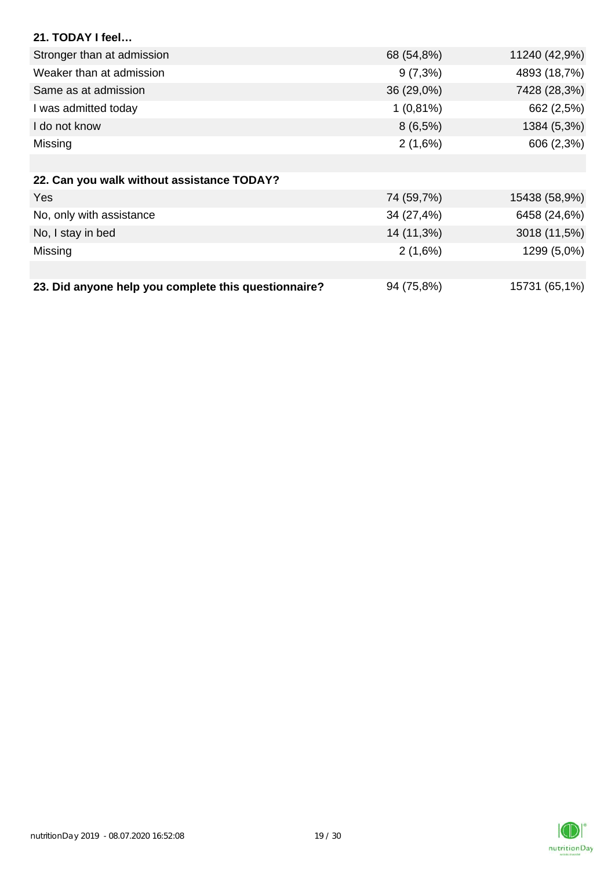| 21. TODAY I feel                                     |             |               |
|------------------------------------------------------|-------------|---------------|
| Stronger than at admission                           | 68 (54,8%)  | 11240 (42,9%) |
| Weaker than at admission                             | $9(7,3\%)$  | 4893 (18,7%)  |
| Same as at admission                                 | 36 (29,0%)  | 7428 (28,3%)  |
| I was admitted today                                 | $1(0,81\%)$ | 662 (2,5%)    |
| I do not know                                        | $8(6,5\%)$  | 1384 (5,3%)   |
| Missing                                              | 2(1,6%)     | 606 (2,3%)    |
|                                                      |             |               |
| 22. Can you walk without assistance TODAY?           |             |               |
| <b>Yes</b>                                           | 74 (59,7%)  | 15438 (58,9%) |
| No, only with assistance                             | 34 (27,4%)  | 6458 (24,6%)  |
| No, I stay in bed                                    | 14 (11,3%)  | 3018 (11,5%)  |
| Missing                                              | 2(1,6%)     | 1299 (5,0%)   |
|                                                      |             |               |
| 23. Did anyone help you complete this questionnaire? | 94 (75,8%)  | 15731 (65,1%) |

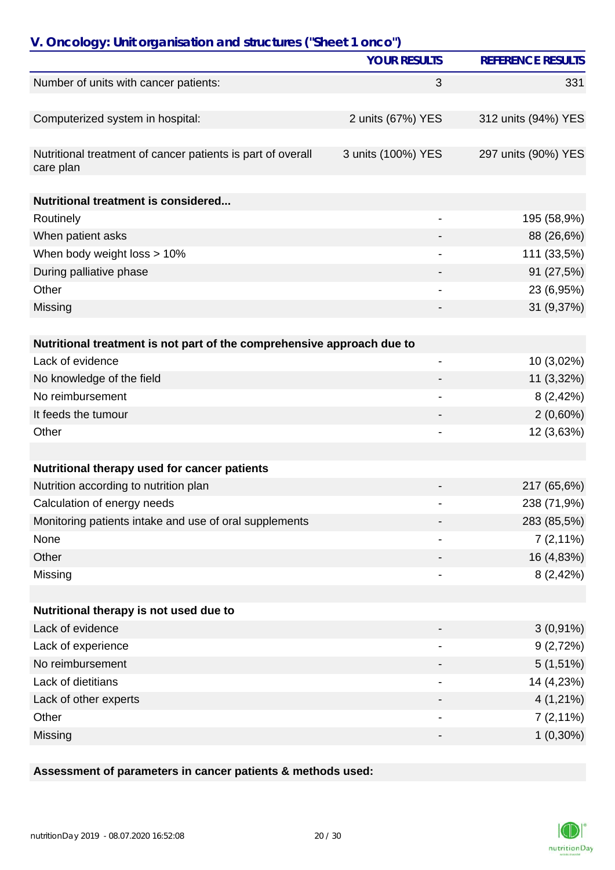| V. Oncology: Unit organisation and structures ("Sheet 1 onco")           |                          |                          |
|--------------------------------------------------------------------------|--------------------------|--------------------------|
|                                                                          | <b>YOUR RESULTS</b>      | <b>REFERENCE RESULTS</b> |
| Number of units with cancer patients:                                    | 3                        | 331                      |
|                                                                          |                          |                          |
| Computerized system in hospital:                                         | 2 units (67%) YES        | 312 units (94%) YES      |
|                                                                          |                          |                          |
| Nutritional treatment of cancer patients is part of overall<br>care plan | 3 units (100%) YES       | 297 units (90%) YES      |
| <b>Nutritional treatment is considered</b>                               |                          |                          |
| Routinely                                                                |                          | 195 (58,9%)              |
| When patient asks                                                        |                          | 88 (26,6%)               |
| When body weight loss > 10%                                              |                          | 111 (33,5%)              |
| During palliative phase                                                  |                          | 91 (27,5%)               |
| Other                                                                    |                          | 23 (6,95%)               |
| Missing                                                                  |                          | 31 (9,37%)               |
|                                                                          |                          |                          |
| Nutritional treatment is not part of the comprehensive approach due to   |                          |                          |
| Lack of evidence                                                         | $\overline{\phantom{0}}$ | 10 (3,02%)               |
| No knowledge of the field                                                |                          | 11 (3,32%)               |
| No reimbursement                                                         |                          | 8(2,42%)                 |
| It feeds the tumour                                                      |                          | $2(0,60\%)$              |
| Other                                                                    |                          | 12 (3,63%)               |
|                                                                          |                          |                          |
| Nutritional therapy used for cancer patients                             |                          |                          |
| Nutrition according to nutrition plan                                    |                          | 217 (65,6%)              |
| Calculation of energy needs                                              |                          | 238 (71,9%)              |
| Monitoring patients intake and use of oral supplements                   |                          | 283 (85,5%)              |
| None                                                                     |                          | $7(2,11\%)$              |
| Other                                                                    |                          | 16 (4,83%)               |
| Missing                                                                  |                          | 8(2,42%)                 |
|                                                                          |                          |                          |
| Nutritional therapy is not used due to                                   |                          |                          |
| Lack of evidence                                                         |                          | $3(0,91\%)$              |
| Lack of experience                                                       |                          | 9(2,72%)                 |
| No reimbursement                                                         |                          | $5(1,51\%)$              |
| Lack of dietitians                                                       |                          | 14 (4,23%)               |
| Lack of other experts                                                    |                          | $4(1,21\%)$              |
| Other                                                                    |                          | $7(2,11\%)$              |
| Missing                                                                  |                          | $1(0,30\%)$              |

## **Assessment of parameters in cancer patients & methods used:**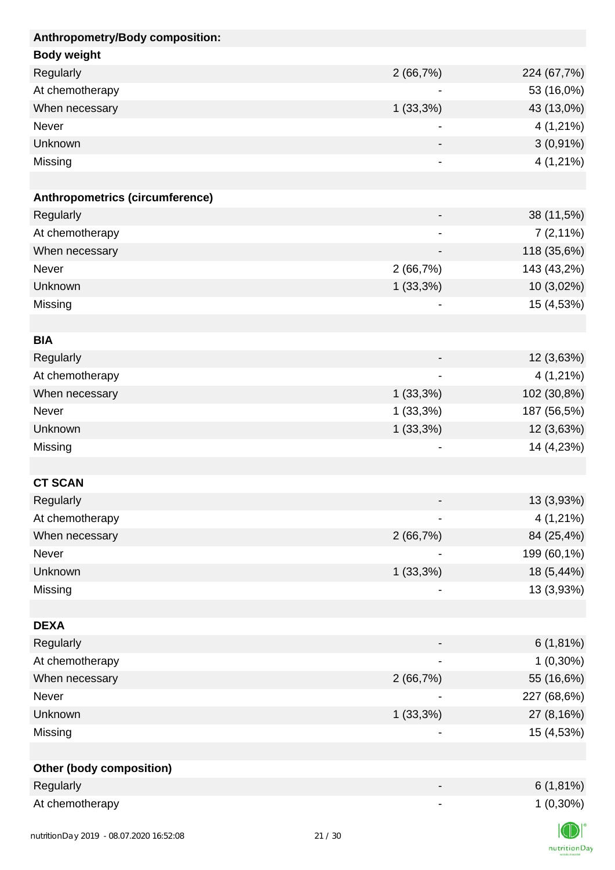| Anthropometry/Body composition: |                              |                |
|---------------------------------|------------------------------|----------------|
| <b>Body weight</b>              |                              |                |
| Regularly                       | 2(66,7%)                     | 224 (67,7%)    |
| At chemotherapy                 |                              | 53 (16,0%)     |
| When necessary                  | $1(33,3\%)$                  | 43 (13,0%)     |
| Never                           |                              | 4 (1,21%)      |
| <b>Unknown</b>                  |                              | $3(0,91\%)$    |
| Missing                         |                              | $4(1,21\%)$    |
|                                 |                              |                |
| Anthropometrics (circumference) |                              |                |
| Regularly                       |                              | 38 (11,5%)     |
| At chemotherapy                 | $\overline{\phantom{0}}$     | $7(2,11\%)$    |
| When necessary                  | $\qquad \qquad \blacksquare$ | 118 (35,6%)    |
| Never                           | 2(66,7%)                     | 143 (43,2%)    |
| Unknown                         | $1(33,3\%)$                  | 10 (3,02%)     |
| Missing                         |                              | 15 (4,53%)     |
|                                 |                              |                |
| <b>BIA</b>                      |                              |                |
| Regularly                       |                              | 12 (3,63%)     |
| At chemotherapy                 |                              | 4 (1,21%)      |
| When necessary                  | $1(33,3\%)$                  | 102 (30,8%)    |
| Never                           | $1(33,3\%)$                  | 187 (56,5%)    |
| Unknown                         | $1(33,3\%)$                  | 12 (3,63%)     |
| Missing                         |                              | 14 (4,23%)     |
|                                 |                              |                |
| <b>CT SCAN</b>                  |                              |                |
| Regularly                       |                              | 13 (3,93%)     |
| At chemotherapy                 |                              | 4 (1,21%)      |
| When necessary                  | 2(66,7%)                     | 84 (25,4%)     |
| Never                           |                              | 199 (60,1%)    |
| Unknown                         | 1(33,3%)                     | 18 (5,44%)     |
| Missing                         |                              | 13 (3,93%)     |
|                                 |                              |                |
| <b>DEXA</b>                     |                              |                |
| Regularly                       |                              | 6(1,81%)       |
| At chemotherapy                 |                              | $1(0,30\%)$    |
| When necessary                  | 2(66,7%)                     | 55 (16,6%)     |
| Never                           |                              | 227 (68,6%)    |
| Unknown                         | $1(33,3\%)$                  | 27 (8,16%)     |
| Missing                         |                              | 15 (4,53%)     |
|                                 |                              |                |
| <b>Other (body composition)</b> |                              |                |
| Regularly                       |                              | $6(1,81\%)$    |
| At chemotherapy                 |                              | $1(0,30\%)$    |
|                                 |                              | $\blacksquare$ |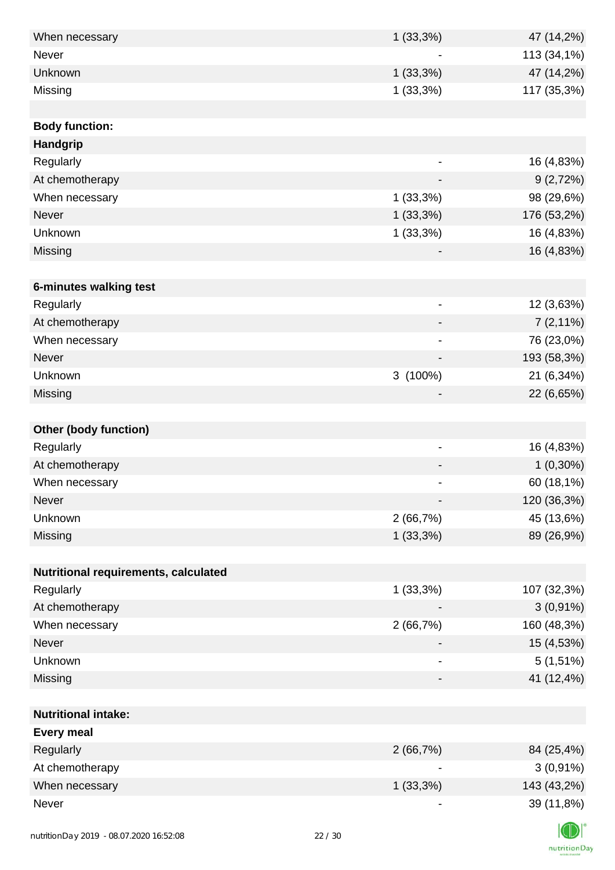| When necessary                           | 1(33,3%)    | 47 (14,2%)                                 |
|------------------------------------------|-------------|--------------------------------------------|
| Never                                    |             | 113 (34,1%)                                |
| Unknown                                  | 1(33,3%)    | 47 (14,2%)                                 |
| Missing                                  | 1(33,3%)    | 117 (35,3%)                                |
|                                          |             |                                            |
| <b>Body function:</b>                    |             |                                            |
| Handgrip                                 |             |                                            |
| Regularly                                |             | 16 (4,83%)                                 |
| At chemotherapy                          |             | 9(2,72%)<br>$\overline{\phantom{0}}$       |
| When necessary                           | 1(33,3%)    | 98 (29,6%)                                 |
| Never                                    | 1(33,3%)    | 176 (53,2%)                                |
| Unknown                                  | 1(33,3%)    | 16 (4,83%)                                 |
| Missing                                  |             | 16 (4,83%)                                 |
|                                          |             |                                            |
| 6-minutes walking test                   |             |                                            |
| Regularly                                |             | 12 (3,63%)<br>$\qquad \qquad \blacksquare$ |
| At chemotherapy                          |             | $7(2,11\%)$                                |
| When necessary                           |             | 76 (23,0%)<br>$\overline{\phantom{a}}$     |
| Never                                    |             | 193 (58,3%)                                |
| Unknown                                  | 3 (100%)    | 21 (6,34%)                                 |
| Missing                                  |             | 22 (6,65%)                                 |
|                                          |             |                                            |
| <b>Other (body function)</b>             |             |                                            |
| Regularly                                |             | 16 (4,83%)<br>$\overline{\phantom{a}}$     |
| At chemotherapy                          |             | $1(0,30\%)$                                |
| When necessary                           |             | 60 (18,1%)<br>$\overline{\phantom{a}}$     |
| Never                                    |             | 120 (36,3%)                                |
| Unknown                                  | 2(66,7%)    | 45 (13,6%)                                 |
| Missing                                  | $1(33,3\%)$ | 89 (26,9%)                                 |
|                                          |             |                                            |
| Nutritional requirements, calculated     |             |                                            |
| Regularly                                | 1(33,3%)    | 107 (32,3%)                                |
| At chemotherapy                          |             | $3(0,91\%)$                                |
| When necessary                           | 2(66,7%)    | 160 (48,3%)                                |
| Never                                    |             | 15 (4,53%)                                 |
| Unknown                                  |             | $5(1,51\%)$                                |
| Missing                                  |             | 41 (12,4%)<br>-                            |
|                                          |             |                                            |
| <b>Nutritional intake:</b>               |             |                                            |
| <b>Every meal</b>                        |             |                                            |
| Regularly                                | 2(66,7%)    | 84 (25,4%)                                 |
| At chemotherapy                          |             | $3(0,91\%)$                                |
| When necessary                           | 1(33,3%)    | 143 (43,2%)                                |
| Never                                    |             | 39 (11,8%)                                 |
|                                          |             |                                            |
| nutrition Day 2019 - 08.07.2020 16:52:08 | 22/30       |                                            |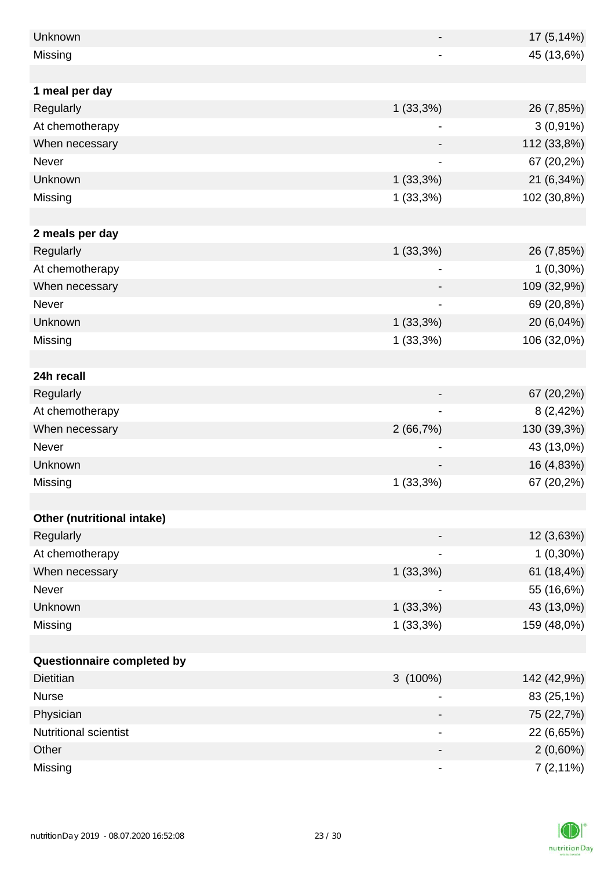| Unknown                    |                          | 17 (5,14%)  |
|----------------------------|--------------------------|-------------|
| Missing                    |                          | 45 (13,6%)  |
|                            |                          |             |
| 1 meal per day             |                          |             |
| Regularly                  | 1(33,3%)                 | 26 (7,85%)  |
| At chemotherapy            | -                        | $3(0,91\%)$ |
| When necessary             |                          | 112 (33,8%) |
| Never                      |                          | 67 (20,2%)  |
| Unknown                    | 1(33,3%)                 | 21 (6,34%)  |
| Missing                    | $1(33,3\%)$              | 102 (30,8%) |
|                            |                          |             |
| 2 meals per day            |                          |             |
| Regularly                  | $1(33,3\%)$              | 26 (7,85%)  |
| At chemotherapy            |                          | $1(0,30\%)$ |
| When necessary             |                          | 109 (32,9%) |
| Never                      |                          | 69 (20,8%)  |
| Unknown                    | 1(33,3%)                 | 20 (6,04%)  |
| Missing                    | 1(33,3%)                 | 106 (32,0%) |
|                            |                          |             |
| 24h recall                 |                          |             |
| Regularly                  |                          | 67 (20,2%)  |
| At chemotherapy            | $\overline{\phantom{0}}$ | 8(2,42%)    |
| When necessary             | 2(66,7%)                 | 130 (39,3%) |
| Never                      |                          | 43 (13,0%)  |
| Unknown                    |                          | 16 (4,83%)  |
| Missing                    | 1(33,3%)                 | 67 (20,2%)  |
|                            |                          |             |
| Other (nutritional intake) |                          |             |
| Regularly                  |                          | 12 (3,63%)  |
| At chemotherapy            | -                        | $1(0,30\%)$ |
| When necessary             | 1(33,3%)                 | 61 (18,4%)  |
| Never                      |                          | 55 (16,6%)  |
| Unknown                    | 1(33,3%)                 | 43 (13,0%)  |
| Missing                    | 1(33,3%)                 | 159 (48,0%) |
|                            |                          |             |
| Questionnaire completed by |                          |             |
| <b>Dietitian</b>           | $3(100\%)$               | 142 (42,9%) |
| <b>Nurse</b>               |                          | 83 (25,1%)  |
| Physician                  |                          | 75 (22,7%)  |
| Nutritional scientist      |                          | 22 (6,65%)  |
| Other                      |                          | $2(0,60\%)$ |
| Missing                    |                          | $7(2,11\%)$ |

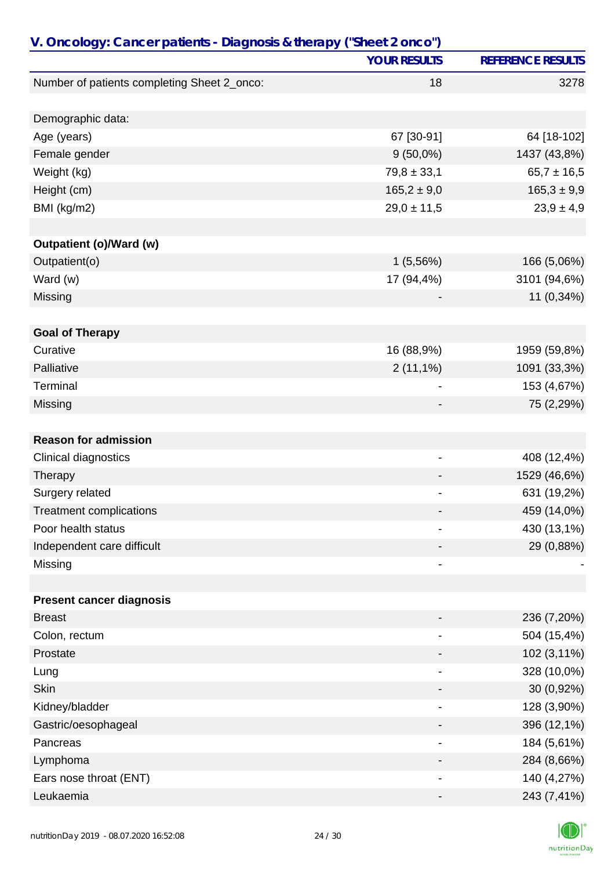| V. Oncology: Cancer patients - Diagnosis & therapy ("Sheet 2 onco") |                              |                          |
|---------------------------------------------------------------------|------------------------------|--------------------------|
|                                                                     | <b>YOUR RESULTS</b>          | <b>REFERENCE RESULTS</b> |
| Number of patients completing Sheet 2_onco:                         | 18                           | 3278                     |
|                                                                     |                              |                          |
| Demographic data:                                                   |                              |                          |
| Age (years)                                                         | 67 [30-91]                   | 64 [18-102]              |
| Female gender                                                       | $9(50,0\%)$                  | 1437 (43,8%)             |
| Weight (kg)                                                         | $79,8 \pm 33,1$              | $65,7 \pm 16,5$          |
| Height (cm)                                                         | $165,2 \pm 9,0$              | $165,3 \pm 9,9$          |
| BMI (kg/m2)                                                         | $29,0 \pm 11,5$              | $23,9 \pm 4,9$           |
|                                                                     |                              |                          |
| <b>Outpatient (o)/Ward (w)</b>                                      |                              |                          |
| Outpatient(o)                                                       | 1(5,56%)                     | 166 (5,06%)              |
| Ward (w)                                                            | 17 (94,4%)                   | 3101 (94,6%)             |
| Missing                                                             |                              | 11 (0,34%)               |
| <b>Goal of Therapy</b>                                              |                              |                          |
| Curative                                                            | 16 (88,9%)                   | 1959 (59,8%)             |
| Palliative                                                          | $2(11,1\%)$                  | 1091 (33,3%)             |
| Terminal                                                            | $\qquad \qquad \blacksquare$ | 153 (4,67%)              |
| Missing                                                             |                              | 75 (2,29%)               |
|                                                                     |                              |                          |
| <b>Reason for admission</b>                                         |                              |                          |
| Clinical diagnostics                                                | ۰                            | 408 (12,4%)              |
| Therapy                                                             |                              | 1529 (46,6%)             |
| Surgery related                                                     |                              | 631 (19,2%)              |
| <b>Treatment complications</b>                                      |                              | 459 (14,0%)              |
| Poor health status                                                  | $\blacksquare$               | 430 (13,1%)              |
| Independent care difficult                                          |                              | 29 (0,88%)               |
| Missing                                                             |                              |                          |
|                                                                     |                              |                          |
| <b>Present cancer diagnosis</b>                                     |                              |                          |
| <b>Breast</b>                                                       |                              | 236 (7,20%)              |
| Colon, rectum                                                       |                              | 504 (15,4%)              |
| Prostate                                                            |                              | 102 (3,11%)              |
| Lung                                                                | $\qquad \qquad \blacksquare$ | 328 (10,0%)              |
| <b>Skin</b>                                                         |                              | 30 (0,92%)               |
| Kidney/bladder                                                      |                              | 128 (3,90%)              |
| Gastric/oesophageal                                                 |                              | 396 (12,1%)              |
| Pancreas                                                            |                              | 184 (5,61%)              |
| Lymphoma                                                            |                              | 284 (8,66%)              |
| Ears nose throat (ENT)                                              |                              | 140 (4,27%)              |
| Leukaemia                                                           |                              | 243 (7,41%)              |

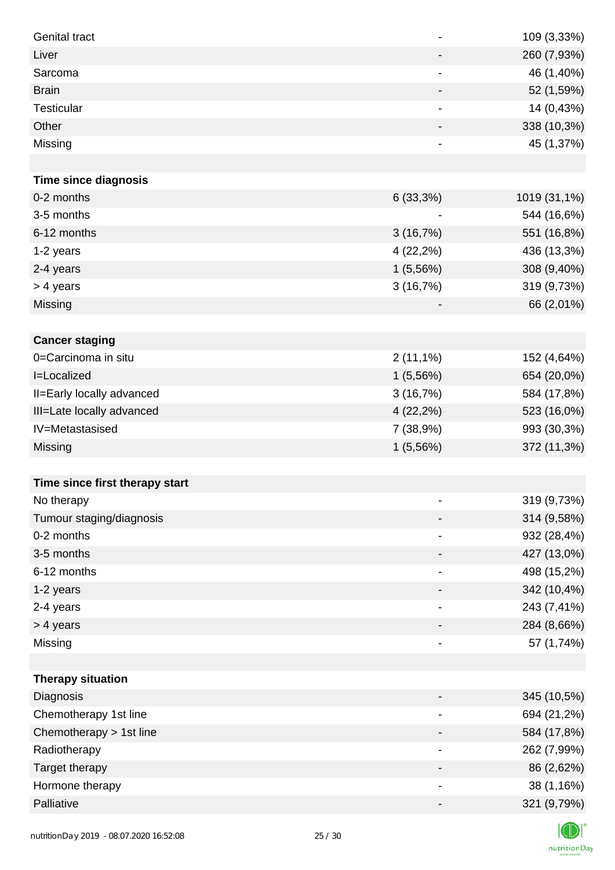| <b>Genital tract</b>           |                          | 109 (3,33%)  |
|--------------------------------|--------------------------|--------------|
| Liver                          | -                        | 260 (7,93%)  |
| Sarcoma                        | -                        | 46 (1,40%)   |
| <b>Brain</b>                   | -                        | 52 (1,59%)   |
| Testicular                     |                          | 14 (0,43%)   |
| Other                          |                          | 338 (10,3%)  |
| Missing                        |                          | 45 (1,37%)   |
|                                |                          |              |
| <b>Time since diagnosis</b>    |                          |              |
| 0-2 months                     | 6(33,3%)                 | 1019 (31,1%) |
| 3-5 months                     |                          | 544 (16,6%)  |
| 6-12 months                    | 3(16,7%)                 | 551 (16,8%)  |
| 1-2 years                      | $4(22,2\%)$              | 436 (13,3%)  |
| 2-4 years                      | 1(5,56%)                 | 308 (9,40%)  |
| > 4 years                      | 3(16,7%)                 | 319 (9,73%)  |
| Missing                        |                          | 66 (2,01%)   |
|                                |                          |              |
| <b>Cancer staging</b>          |                          |              |
| 0=Carcinoma in situ            | $2(11,1\%)$              | 152 (4,64%)  |
| <b>I=Localized</b>             | 1(5,56%)                 | 654 (20,0%)  |
| II=Early locally advanced      | 3(16,7%)                 | 584 (17,8%)  |
| III=Late locally advanced      | $4(22,2\%)$              | 523 (16,0%)  |
| IV=Metastasised                | 7 (38,9%)                | 993 (30,3%)  |
| Missing                        | 1(5,56%)                 | 372 (11,3%)  |
|                                |                          |              |
| Time since first therapy start |                          |              |
| No therapy                     |                          | 319 (9,73%)  |
| Tumour staging/diagnosis       |                          | 314 (9,58%)  |
| 0-2 months                     |                          | 932 (28,4%)  |
| 3-5 months                     |                          | 427 (13,0%)  |
| 6-12 months                    |                          | 498 (15,2%)  |
| 1-2 years                      |                          | 342 (10,4%)  |
| 2-4 years                      | -                        | 243 (7,41%)  |
| > 4 years                      | -                        | 284 (8,66%)  |
| Missing                        | -                        | 57 (1,74%)   |
|                                |                          |              |
| <b>Therapy situation</b>       |                          |              |
| Diagnosis                      |                          | 345 (10,5%)  |
| Chemotherapy 1st line          |                          | 694 (21,2%)  |
| Chemotherapy > 1st line        |                          | 584 (17,8%)  |
| Radiotherapy                   | -                        | 262 (7,99%)  |
| Target therapy                 | -                        | 86 (2,62%)   |
| Hormone therapy                | $\overline{\phantom{a}}$ | 38 (1,16%)   |
| Palliative                     | -                        | 321 (9,79%)  |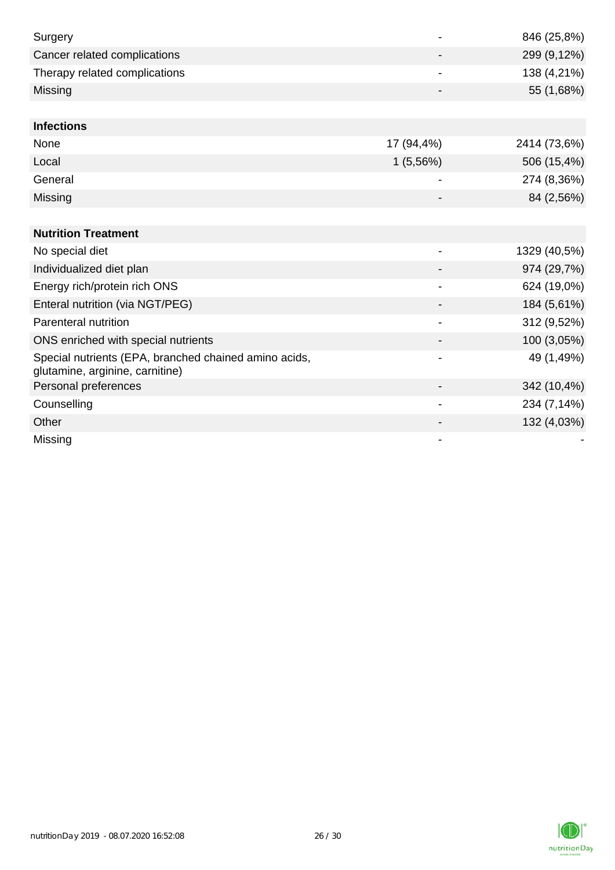| Surgery                                                                                  |                | 846 (25,8%)  |
|------------------------------------------------------------------------------------------|----------------|--------------|
| Cancer related complications                                                             |                | 299 (9,12%)  |
| Therapy related complications                                                            |                | 138 (4,21%)  |
| Missing                                                                                  |                | 55 (1,68%)   |
|                                                                                          |                |              |
| <b>Infections</b>                                                                        |                |              |
| None                                                                                     | 17 (94,4%)     | 2414 (73,6%) |
| Local                                                                                    | 1(5,56%)       | 506 (15,4%)  |
| General                                                                                  |                | 274 (8,36%)  |
| Missing                                                                                  |                | 84 (2,56%)   |
|                                                                                          |                |              |
| <b>Nutrition Treatment</b>                                                               |                |              |
| No special diet                                                                          |                | 1329 (40,5%) |
| Individualized diet plan                                                                 |                | 974 (29,7%)  |
| Energy rich/protein rich ONS                                                             | $\blacksquare$ | 624 (19,0%)  |
| Enteral nutrition (via NGT/PEG)                                                          |                | 184 (5,61%)  |
| Parenteral nutrition                                                                     |                | 312 (9,52%)  |
| ONS enriched with special nutrients                                                      |                | 100 (3,05%)  |
| Special nutrients (EPA, branched chained amino acids,<br>glutamine, arginine, carnitine) |                | 49 (1,49%)   |
| Personal preferences                                                                     |                | 342 (10,4%)  |
| Counselling                                                                              | $\blacksquare$ | 234 (7,14%)  |
| Other                                                                                    |                | 132 (4,03%)  |
| Missing                                                                                  |                |              |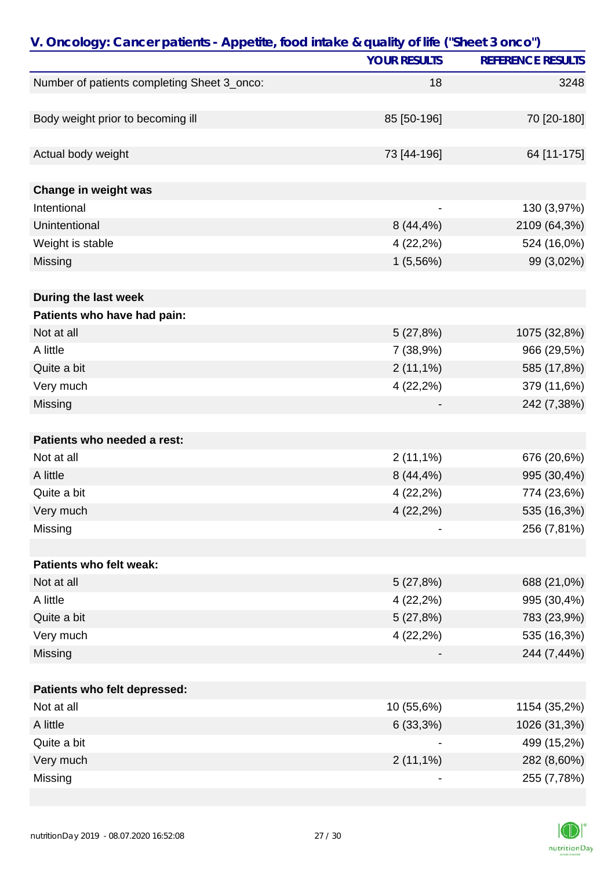| V. Oncology: Cancer patients - Appetite, food intake & quality of life ("Sheet 3 onco") |                     |                          |
|-----------------------------------------------------------------------------------------|---------------------|--------------------------|
|                                                                                         | <b>YOUR RESULTS</b> | <b>REFERENCE RESULTS</b> |
| Number of patients completing Sheet 3_onco:                                             | 18                  | 3248                     |
|                                                                                         |                     |                          |
| Body weight prior to becoming ill                                                       | 85 [50-196]         | 70 [20-180]              |
|                                                                                         |                     |                          |
| Actual body weight                                                                      | 73 [44-196]         | 64 [11-175]              |
|                                                                                         |                     |                          |
| Change in weight was                                                                    |                     |                          |
| Intentional                                                                             |                     | 130 (3,97%)              |
| Unintentional                                                                           | $8(44, 4\%)$        | 2109 (64,3%)             |
| Weight is stable                                                                        | 4 (22,2%)           | 524 (16,0%)              |
| Missing                                                                                 | 1(5,56%)            | 99 (3,02%)               |
|                                                                                         |                     |                          |
| During the last week                                                                    |                     |                          |
| Patients who have had pain:                                                             |                     |                          |
| Not at all                                                                              | 5(27,8%)            | 1075 (32,8%)             |
| A little                                                                                | 7 (38,9%)           | 966 (29,5%)              |
| Quite a bit                                                                             | $2(11,1\%)$         | 585 (17,8%)              |
| Very much                                                                               | 4 (22,2%)           | 379 (11,6%)              |
| Missing                                                                                 |                     | 242 (7,38%)              |
|                                                                                         |                     |                          |
| Patients who needed a rest:                                                             |                     |                          |
| Not at all                                                                              | $2(11,1\%)$         | 676 (20,6%)              |
| A little                                                                                | $8(44, 4\%)$        | 995 (30,4%)              |
| Quite a bit                                                                             | 4 (22,2%)           | 774 (23,6%)              |
| Very much                                                                               | 4 (22,2%)           | 535 (16,3%)              |
| Missing                                                                                 |                     | 256 (7,81%)              |
|                                                                                         |                     |                          |
| Patients who felt weak:                                                                 |                     |                          |
| Not at all                                                                              | 5(27,8%)            | 688 (21,0%)              |
| A little                                                                                | 4 (22,2%)           | 995 (30,4%)              |
| Quite a bit                                                                             | 5(27,8%)            | 783 (23,9%)              |
| Very much                                                                               | 4 (22,2%)           | 535 (16,3%)              |
| Missing                                                                                 |                     | 244 (7,44%)              |
|                                                                                         |                     |                          |
| Patients who felt depressed:                                                            |                     |                          |
| Not at all                                                                              | 10 (55,6%)          | 1154 (35,2%)             |
| A little                                                                                | 6(33,3%)            | 1026 (31,3%)             |
| Quite a bit                                                                             |                     | 499 (15,2%)              |
| Very much                                                                               | $2(11,1\%)$         | 282 (8,60%)              |
| Missing                                                                                 |                     | 255 (7,78%)              |

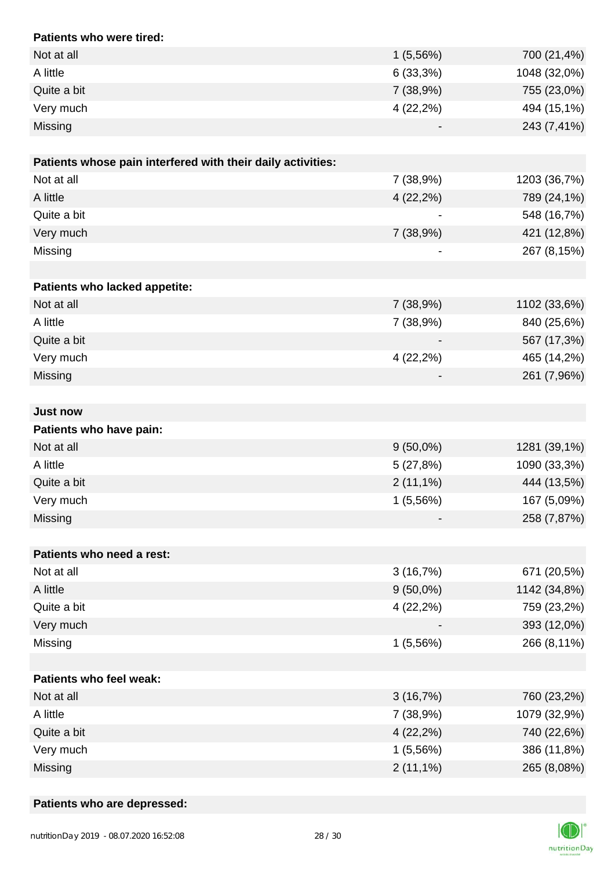| Patients who were tired:                                    |             |              |
|-------------------------------------------------------------|-------------|--------------|
| Not at all                                                  | 1(5,56%)    | 700 (21,4%)  |
| A little                                                    | 6(33,3%)    | 1048 (32,0%) |
| Quite a bit                                                 | 7(38,9%)    | 755 (23,0%)  |
| Very much                                                   | 4(22,2%)    | 494 (15,1%)  |
| Missing                                                     |             | 243 (7,41%)  |
|                                                             |             |              |
| Patients whose pain interfered with their daily activities: |             |              |
| Not at all                                                  | 7 (38,9%)   | 1203 (36,7%) |
| A little                                                    | $4(22,2\%)$ | 789 (24,1%)  |
| Quite a bit                                                 |             | 548 (16,7%)  |
| Very much                                                   | 7 (38,9%)   | 421 (12,8%)  |
| Missing                                                     |             | 267 (8,15%)  |
|                                                             |             |              |
| Patients who lacked appetite:                               |             |              |
| Not at all                                                  | 7(38,9%)    | 1102 (33,6%) |
| A little                                                    | 7 (38,9%)   | 840 (25,6%)  |
| Quite a bit                                                 |             | 567 (17,3%)  |
| Very much                                                   | $4(22,2\%)$ | 465 (14,2%)  |
| Missing                                                     |             | 261 (7,96%)  |
|                                                             |             |              |
| <b>Just now</b>                                             |             |              |
| Patients who have pain:                                     |             |              |
| Not at all                                                  | $9(50,0\%)$ | 1281 (39,1%) |
| A little                                                    | 5(27,8%)    | 1090 (33,3%) |
| Quite a bit                                                 | $2(11,1\%)$ | 444 (13,5%)  |
| Very much                                                   | 1(5,56%)    | 167 (5,09%)  |
| Missing                                                     |             | 258 (7,87%)  |
|                                                             |             |              |
| Patients who need a rest:                                   |             |              |
| Not at all                                                  | 3(16,7%)    | 671 (20,5%)  |
| A little                                                    | $9(50,0\%)$ | 1142 (34,8%) |
| Quite a bit                                                 | 4(22,2%)    | 759 (23,2%)  |
| Very much                                                   |             | 393 (12,0%)  |
| Missing                                                     | 1(5,56%)    | 266 (8,11%)  |
|                                                             |             |              |
| Patients who feel weak:                                     |             |              |
| Not at all                                                  | 3(16,7%)    | 760 (23,2%)  |
| A little                                                    | 7 (38,9%)   | 1079 (32,9%) |
| Quite a bit                                                 | 4 (22,2%)   | 740 (22,6%)  |
| Very much                                                   | 1(5,56%)    | 386 (11,8%)  |
| Missing                                                     | $2(11,1\%)$ | 265 (8,08%)  |

## **Patients who are depressed:**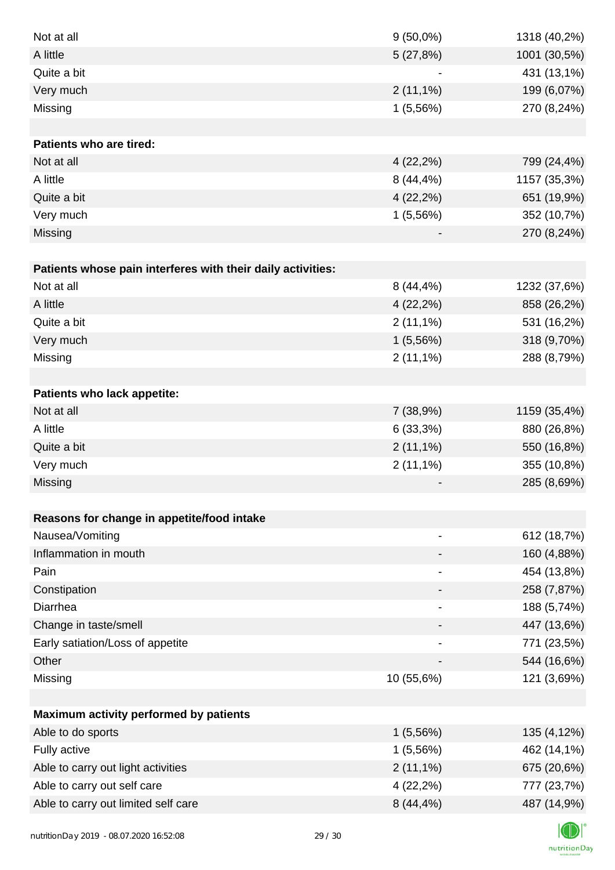| Not at all                                                  | $9(50,0\%)$                  | 1318 (40,2%) |
|-------------------------------------------------------------|------------------------------|--------------|
| A little                                                    | 5(27,8%)                     | 1001 (30,5%) |
| Quite a bit                                                 |                              | 431 (13,1%)  |
| Very much                                                   | $2(11,1\%)$                  | 199 (6,07%)  |
| Missing                                                     | 1(5,56%)                     | 270 (8,24%)  |
|                                                             |                              |              |
| <b>Patients who are tired:</b>                              |                              |              |
| Not at all                                                  | $4(22,2\%)$                  | 799 (24,4%)  |
| A little                                                    | $8(44, 4\%)$                 | 1157 (35,3%) |
| Quite a bit                                                 | $4(22,2\%)$                  | 651 (19,9%)  |
| Very much                                                   | 1(5,56%)                     | 352 (10,7%)  |
| Missing                                                     |                              | 270 (8,24%)  |
|                                                             |                              |              |
| Patients whose pain interferes with their daily activities: |                              |              |
| Not at all                                                  | $8(44, 4\%)$                 | 1232 (37,6%) |
| A little                                                    | $4(22,2\%)$                  | 858 (26,2%)  |
| Quite a bit                                                 | $2(11,1\%)$                  | 531 (16,2%)  |
| Very much                                                   | 1(5,56%)                     | 318 (9,70%)  |
| Missing                                                     | $2(11,1\%)$                  | 288 (8,79%)  |
|                                                             |                              |              |
| Patients who lack appetite:                                 |                              |              |
| Not at all                                                  | 7(38,9%)                     | 1159 (35,4%) |
| A little                                                    | 6(33,3%)                     | 880 (26,8%)  |
| Quite a bit                                                 | $2(11,1\%)$                  | 550 (16,8%)  |
| Very much                                                   | $2(11,1\%)$                  | 355 (10,8%)  |
| Missing                                                     |                              | 285 (8,69%)  |
|                                                             |                              |              |
| Reasons for change in appetite/food intake                  |                              |              |
| Nausea/Vomiting                                             |                              | 612 (18,7%)  |
| Inflammation in mouth                                       |                              | 160 (4,88%)  |
| Pain                                                        |                              | 454 (13,8%)  |
| Constipation                                                |                              | 258 (7,87%)  |
| Diarrhea                                                    | $\qquad \qquad \blacksquare$ | 188 (5,74%)  |
| Change in taste/smell                                       |                              | 447 (13,6%)  |
| Early satiation/Loss of appetite                            |                              | 771 (23,5%)  |
| Other                                                       |                              | 544 (16,6%)  |
| Missing                                                     | 10 (55,6%)                   | 121 (3,69%)  |
|                                                             |                              |              |
| Maximum activity performed by patients                      |                              |              |
| Able to do sports                                           | 1(5,56%)                     | 135 (4,12%)  |
| Fully active                                                | 1(5,56%)                     | 462 (14,1%)  |
| Able to carry out light activities                          | $2(11,1\%)$                  | 675 (20,6%)  |
| Able to carry out self care                                 | $4(22,2\%)$                  | 777 (23,7%)  |
| Able to carry out limited self care                         | 8 (44,4%)                    | 487 (14,9%)  |
|                                                             |                              |              |